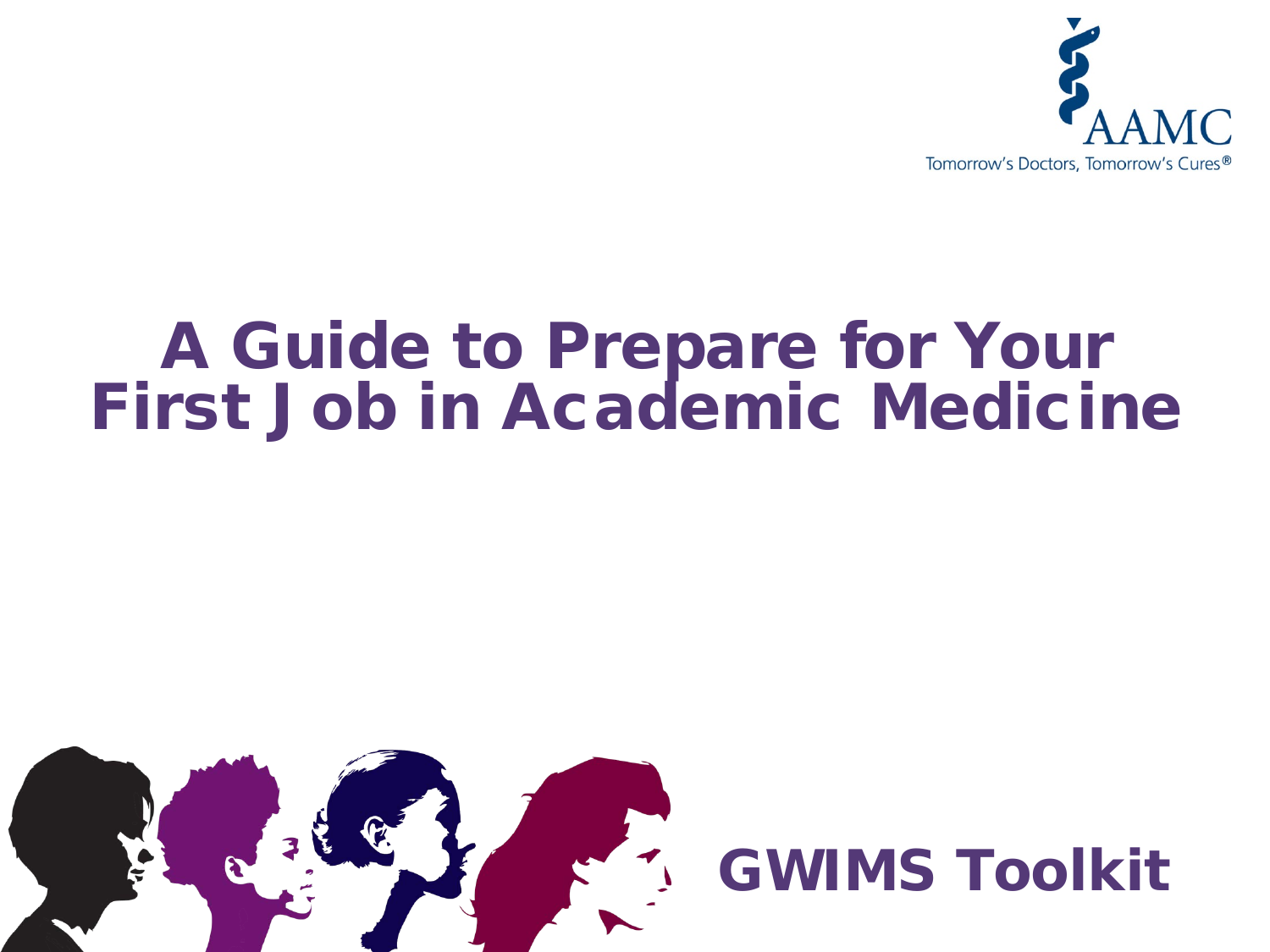

# A Guide to Prepare for Your First Job in Academic Medicine



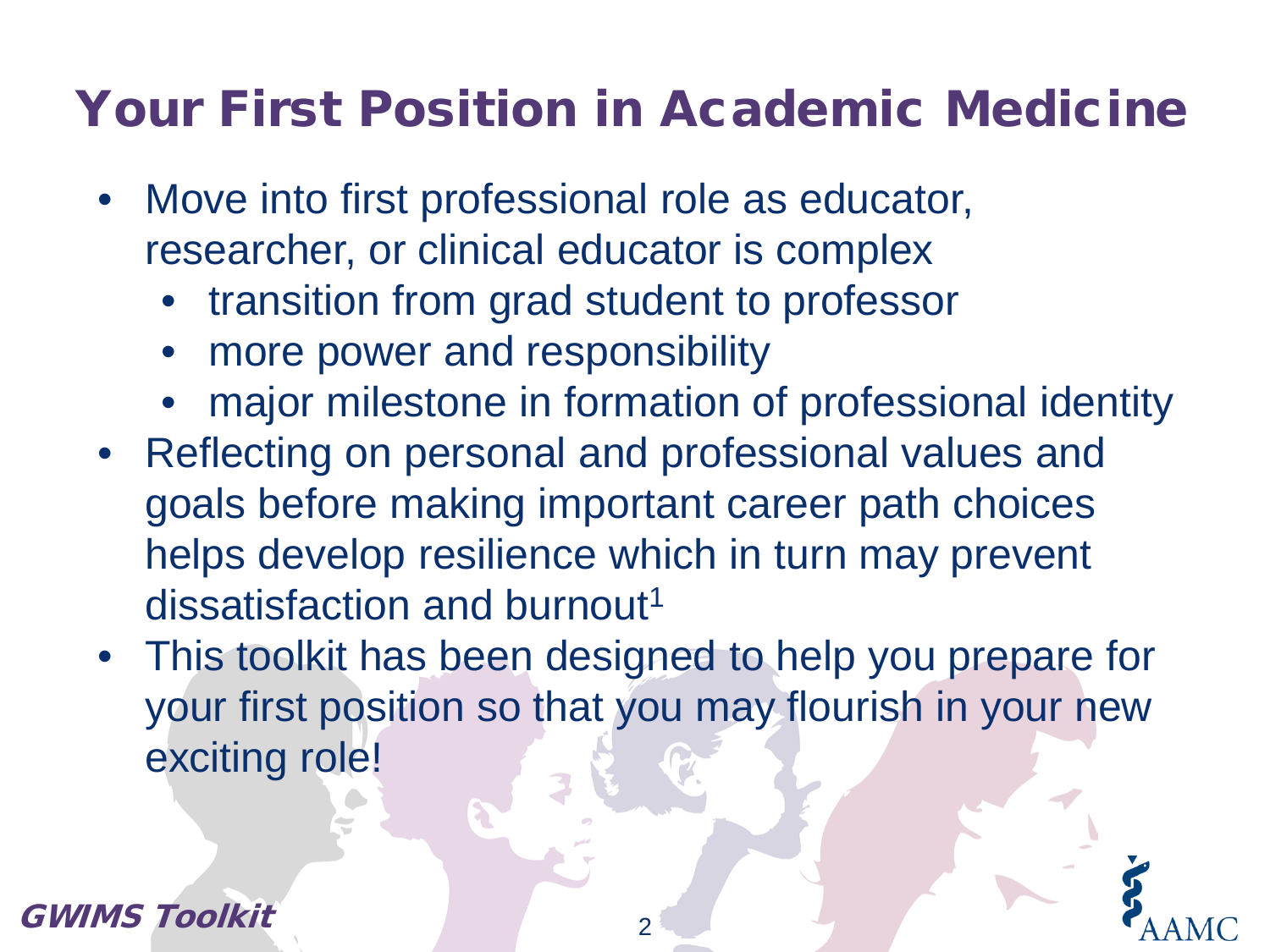## Your First Position in Academic Medicine

- Move into first professional role as educator, researcher, or clinical educator is complex
	- transition from grad student to professor
	- more power and responsibility
	- major milestone in formation of professional identity
- Reflecting on personal and professional values and goals before making important career path choices helps develop resilience which in turn may prevent dissatisfaction and burnout<sup>1</sup>
- This toolkit has been designed to help you prepare for your first position so that you may flourish in your new exciting role!

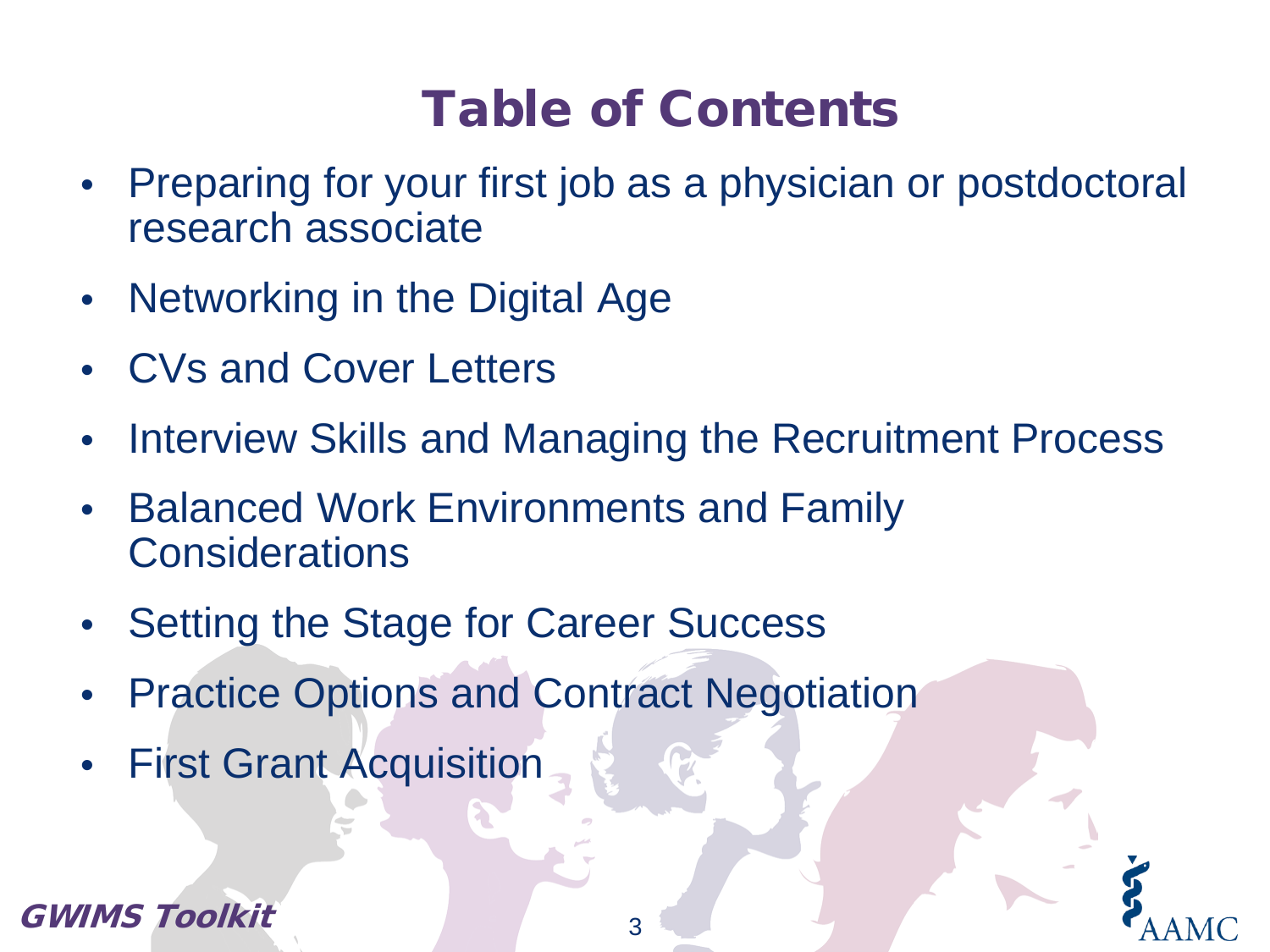# Table of Contents

- Preparing for your first job as a physician or postdoctoral research associate
- Networking in the Digital Age
- CVs and Cover Letters
- Interview Skills and Managing the Recruitment Process
- Balanced Work Environments and Family **Considerations**
- Setting the Stage for Career Success
- Practice Options and Contract Negotiation
- First Grant Acquisition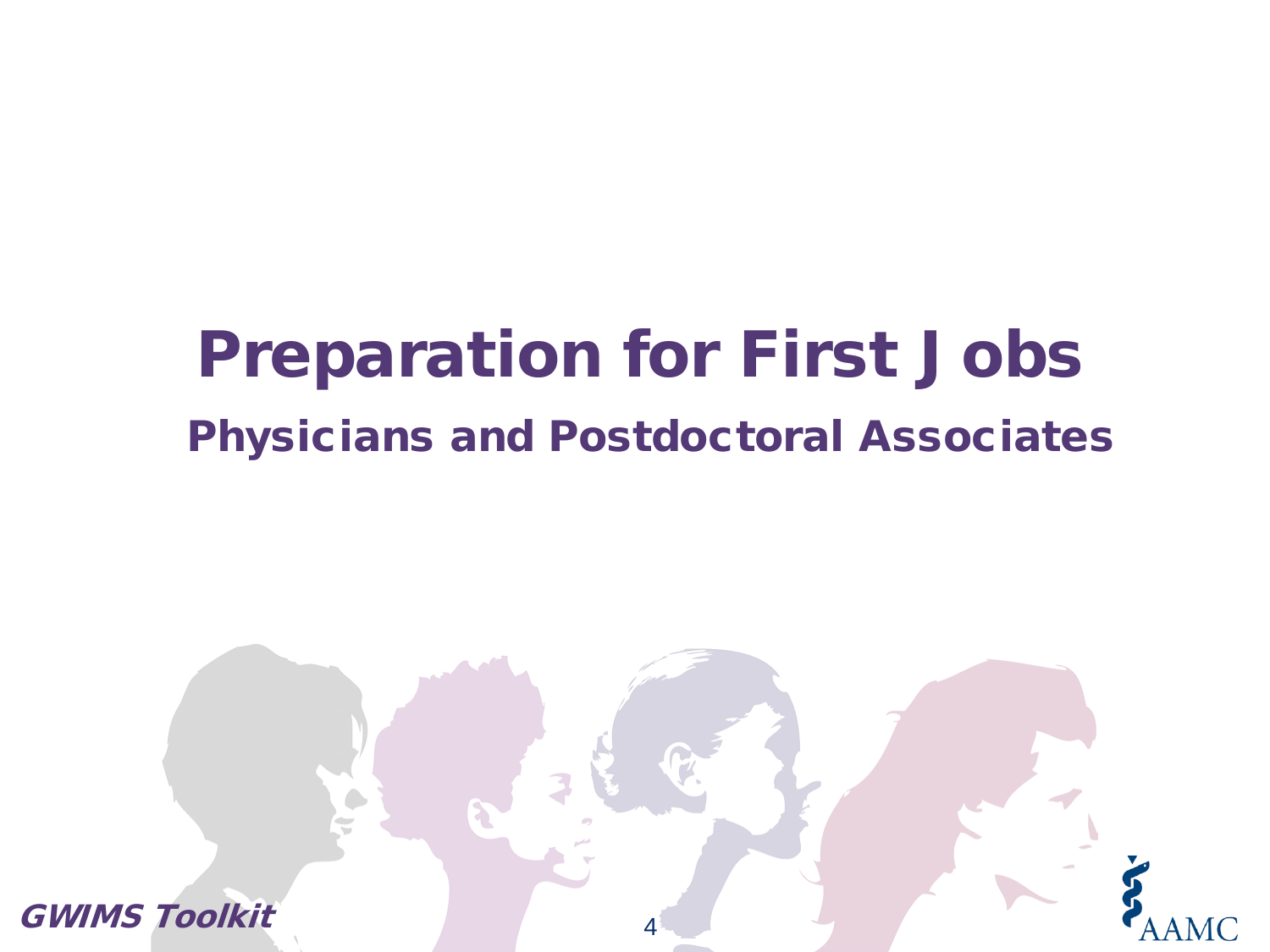# Preparation for First Jobs Physicians and Postdoctoral Associates

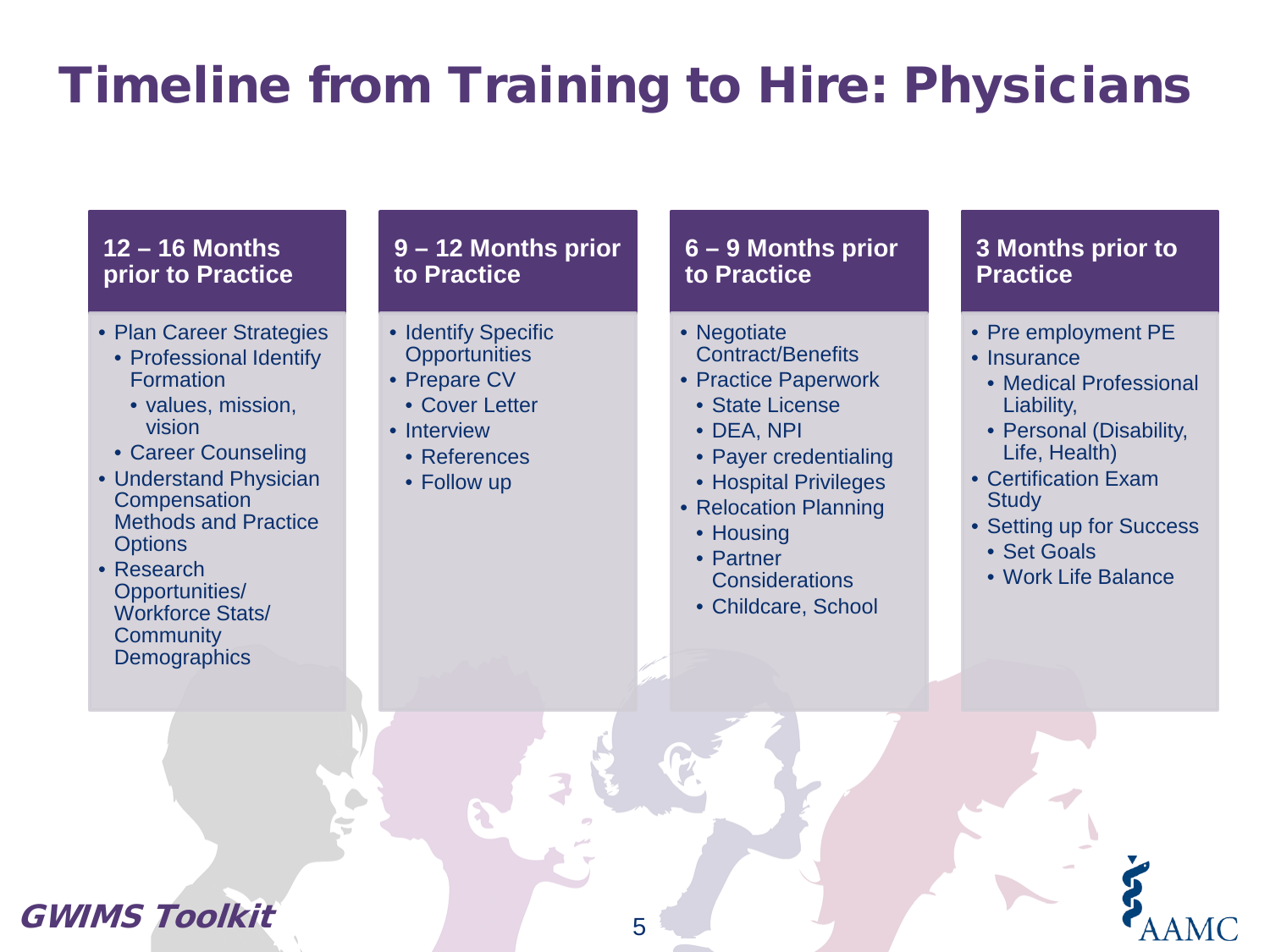# Timeline from Training to Hire: Physicians

#### **12 – 16 Months prior to Practice**

- Plan Career Strategies
	- Professional Identify Formation
		- values, mission, vision
	- Career Counseling
- Understand Physician **Compensation** Methods and Practice **Options**
- Research Opportunities/ Workforce Stats/ **Community Demographics**

#### **9 – 12 Months prior to Practice**

- Identify Specific **Opportunities**
- Prepare CV
	- Cover Letter
- Interview
	- References
	- Follow up

#### **6 – 9 Months prior to Practice**

- Negotiate Contract/Benefits
- Practice Paperwork
	- State License
	- DEA, NPI
	- Payer credentialing
	- Hospital Privileges
- Relocation Planning
	- Housing
	- Partner **Considerations**
	- Childcare, School

#### **3 Months prior to Practice**

- Pre employment PE
- Insurance
	- Medical Professional Liability,
	- Personal (Disability, Life, Health)
- Certification Exam **Study**
- Setting up for Success
- Set Goals
- Work Life Balance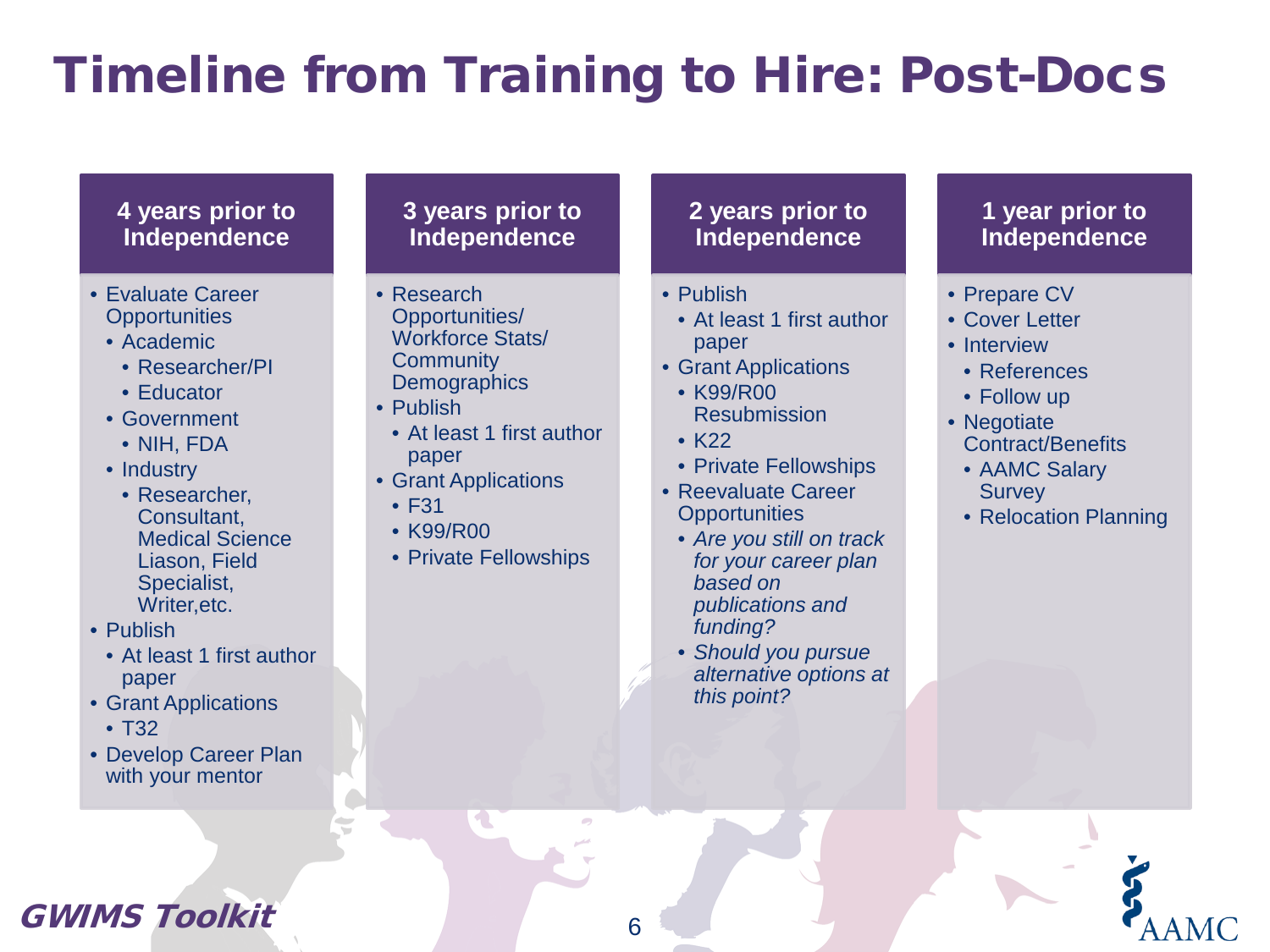# Timeline from Training to Hire: Post-Docs

#### **4 years prior to Independence**

- Evaluate Career **Opportunities** 
	- Academic
		- Researcher/PI
		- Educator
	- Government
		- NIH, FDA
	- Industry
		- Researcher, Consultant, Medical Science Liason, Field Specialist, Writer,etc.
- Publish
	- At least 1 first author paper
- Grant Applications
	- T32
- Develop Career Plan with your mentor

#### **3 years prior to Independence**

- Research Opportunities/ Workforce Stats/ **Community Demographics**
- Publish
	- At least 1 first author paper
- Grant Applications
	- F31
	- K99/R00
	- Private Fellowships

#### **2 years prior to Independence**

- Publish
	- At least 1 first author paper
- Grant Applications
	- K99/R00 Resubmission
	- K22

6

- Private Fellowships
- Reevaluate Career **Opportunities** 
	- *Are you still on track for your career plan based on publications and funding?*
	- *Should you pursue alternative options at this point?*

#### **1 year prior to Independence**

- Prepare CV
- Cover Letter
- Interview
- References
- Follow up
- Negotiate Contract/Benefits
	- AAMC Salary **Survey**
	- Relocation Planning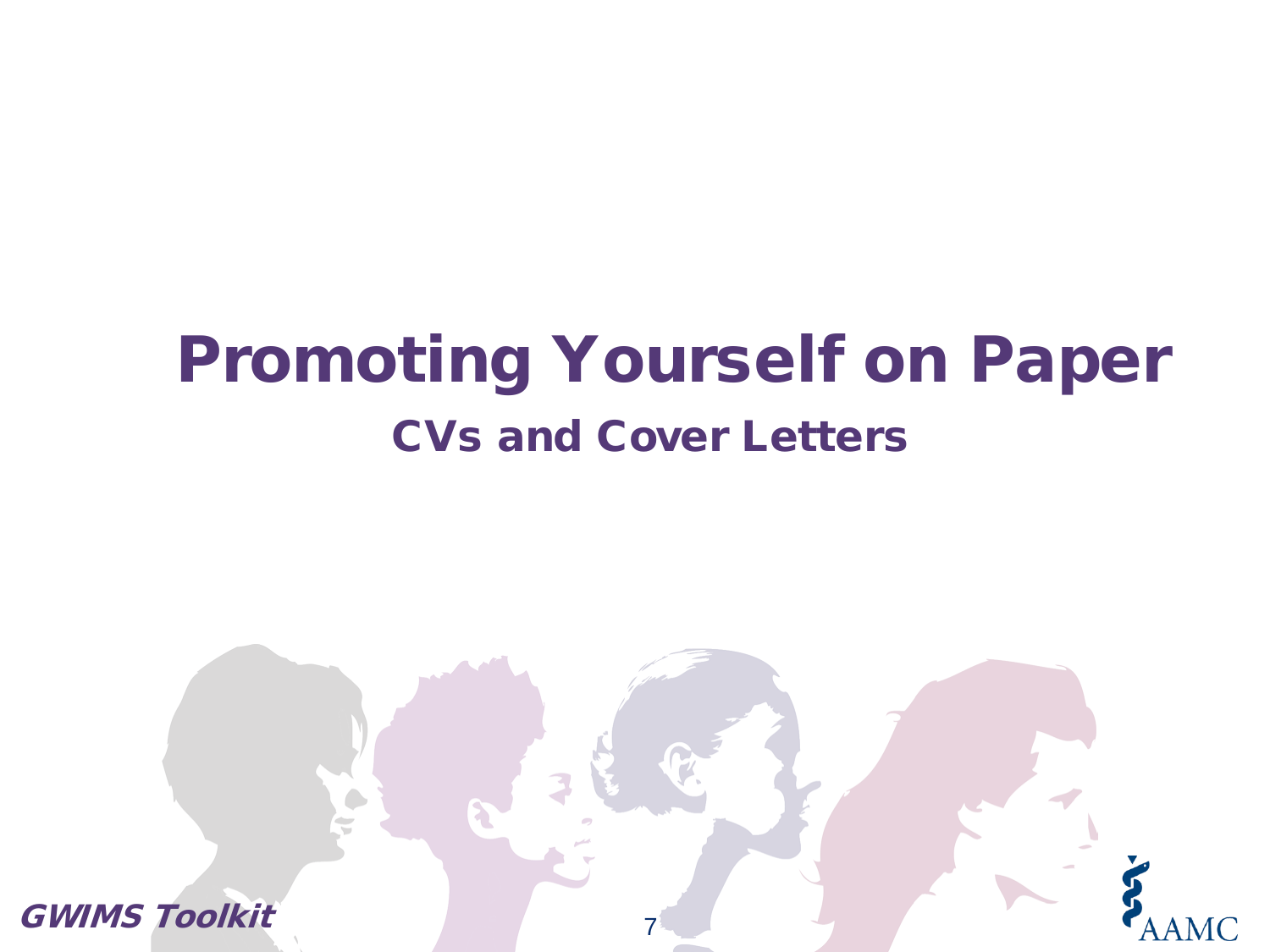# Promoting Yourself on Paper CVs and Cover Letters

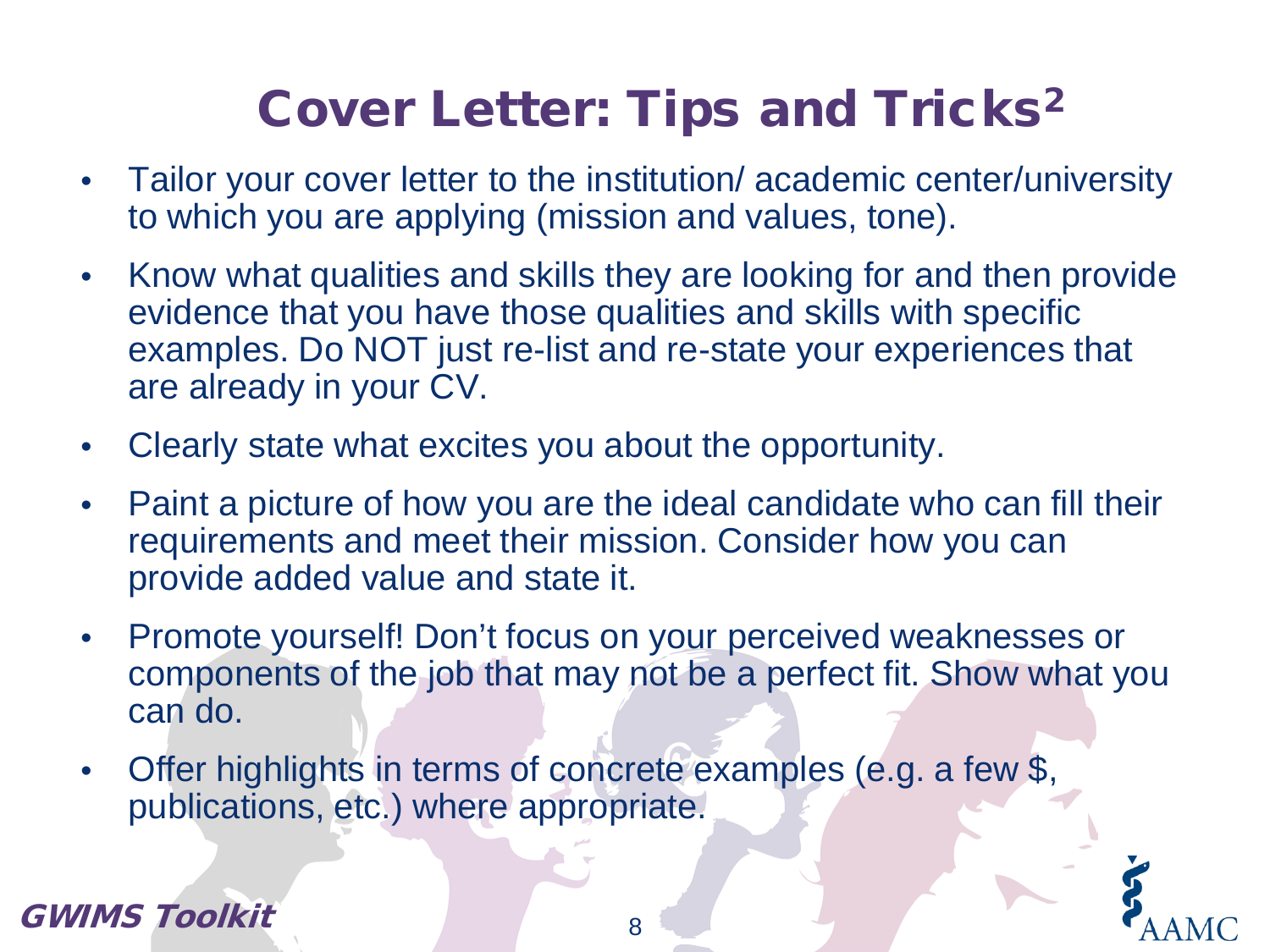# Cover Letter: Tips and Tricks<sup>2</sup>

- Tailor your cover letter to the institution/ academic center/university to which you are applying (mission and values, tone).
- Know what qualities and skills they are looking for and then provide evidence that you have those qualities and skills with specific examples. Do NOT just re-list and re-state your experiences that are already in your CV.
- Clearly state what excites you about the opportunity.
- Paint a picture of how you are the ideal candidate who can fill their requirements and meet their mission. Consider how you can provide added value and state it.
- Promote yourself! Don't focus on your perceived weaknesses or components of the job that may not be a perfect fit. Show what you can do.
- Offer highlights in terms of concrete examples (e.g. a few \$, publications, etc.) where appropriate.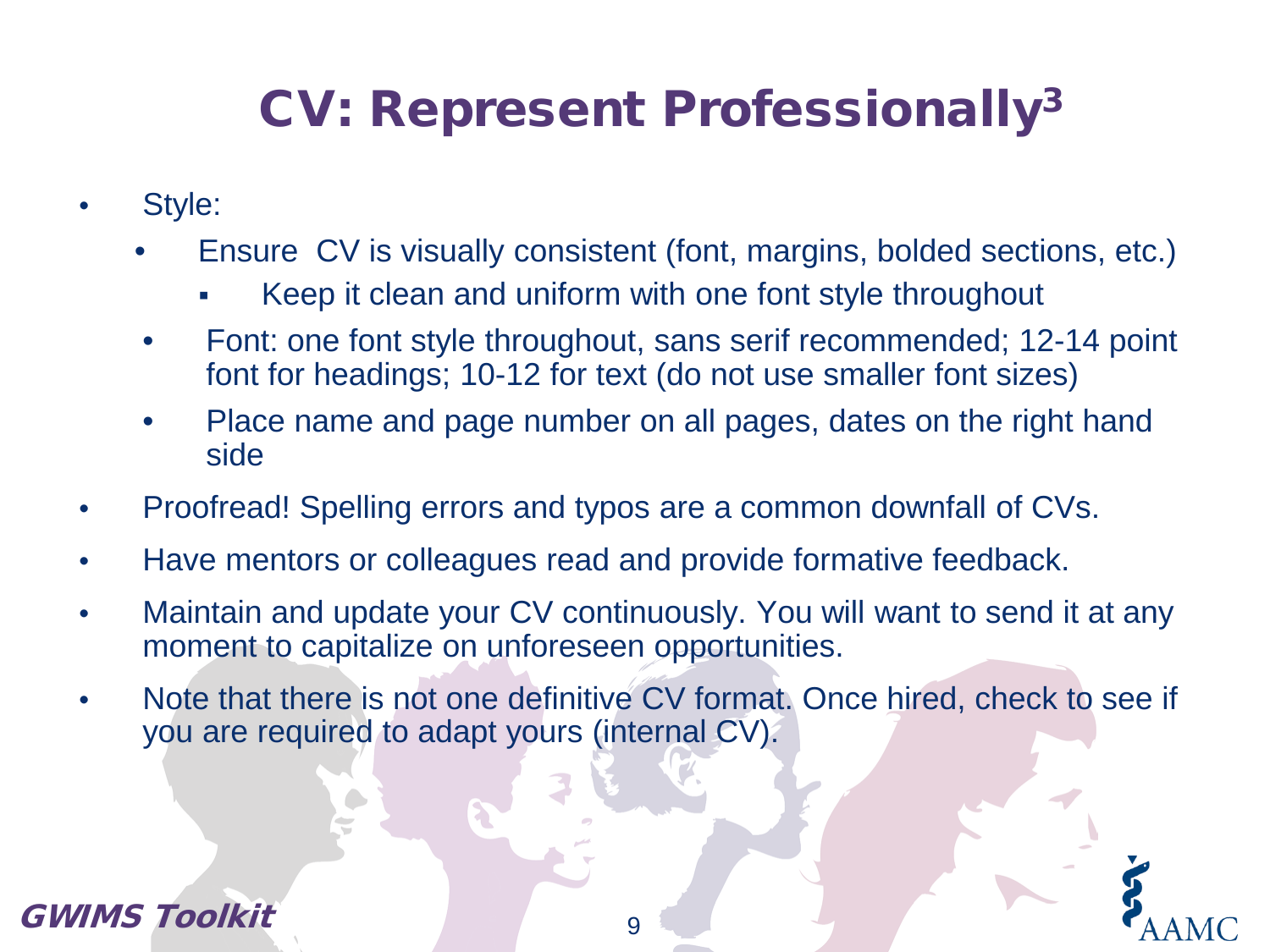# CV: Represent Professionally3

- Style:
	- Ensure CV is visually consistent (font, margins, bolded sections, etc.)
		- Keep it clean and uniform with one font style throughout
	- Font: one font style throughout, sans serif recommended; 12-14 point font for headings; 10-12 for text (do not use smaller font sizes)
	- Place name and page number on all pages, dates on the right hand side
- Proofread! Spelling errors and typos are a common downfall of CVs.
- Have mentors or colleagues read and provide formative feedback.
- Maintain and update your CV continuously. You will want to send it at any moment to capitalize on unforeseen opportunities.
- Note that there is not one definitive CV format. Once hired, check to see if you are required to adapt yours (internal CV).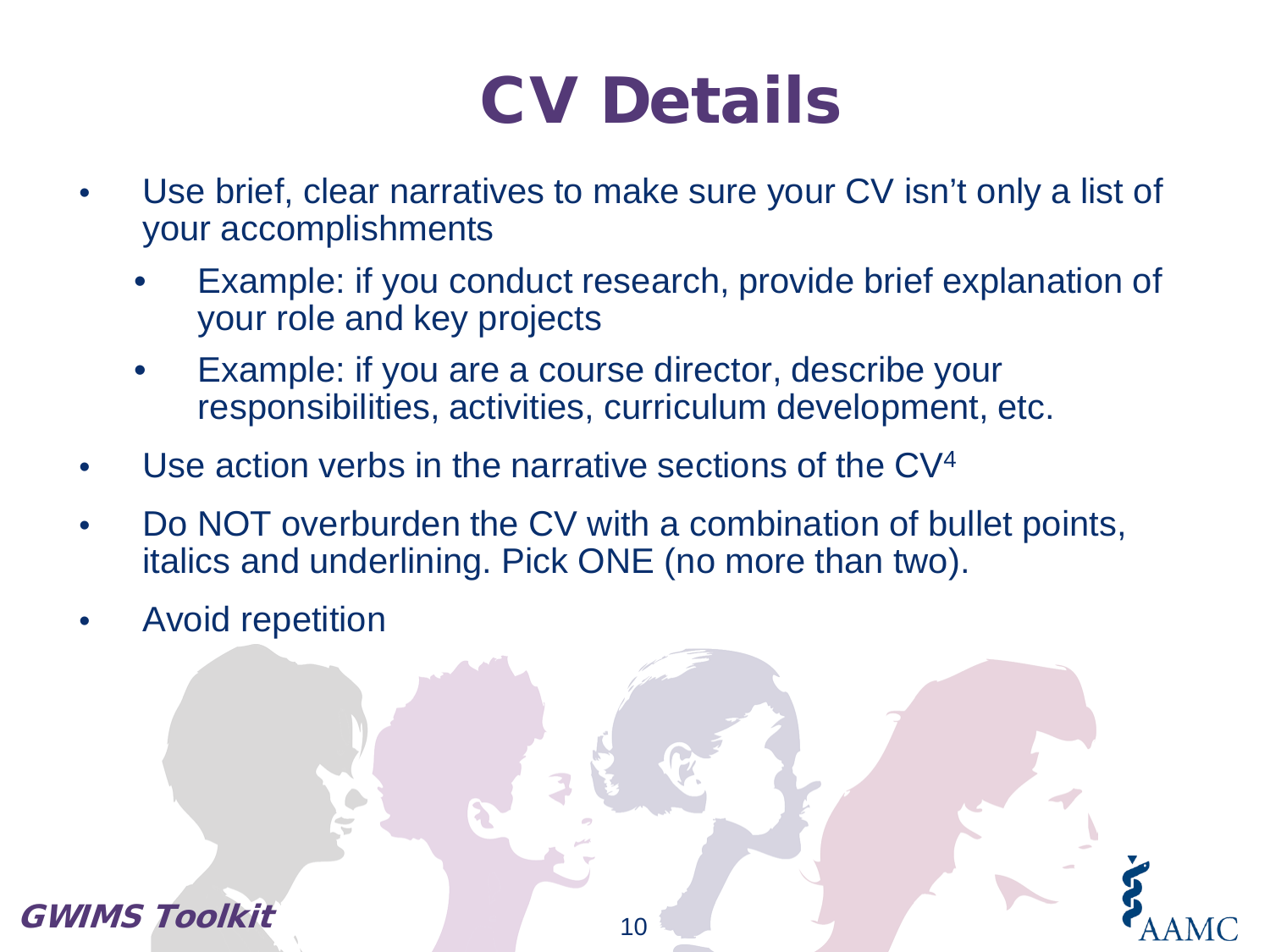# CV Details

- Use brief, clear narratives to make sure your CV isn't only a list of your accomplishments
	- Example: if you conduct research, provide brief explanation of your role and key projects
	- Example: if you are a course director, describe your responsibilities, activities, curriculum development, etc.
- Use action verbs in the narrative sections of the CV<sup>4</sup>
- Do NOT overburden the CV with a combination of bullet points, italics and underlining. Pick ONE (no more than two).
- Avoid repetition

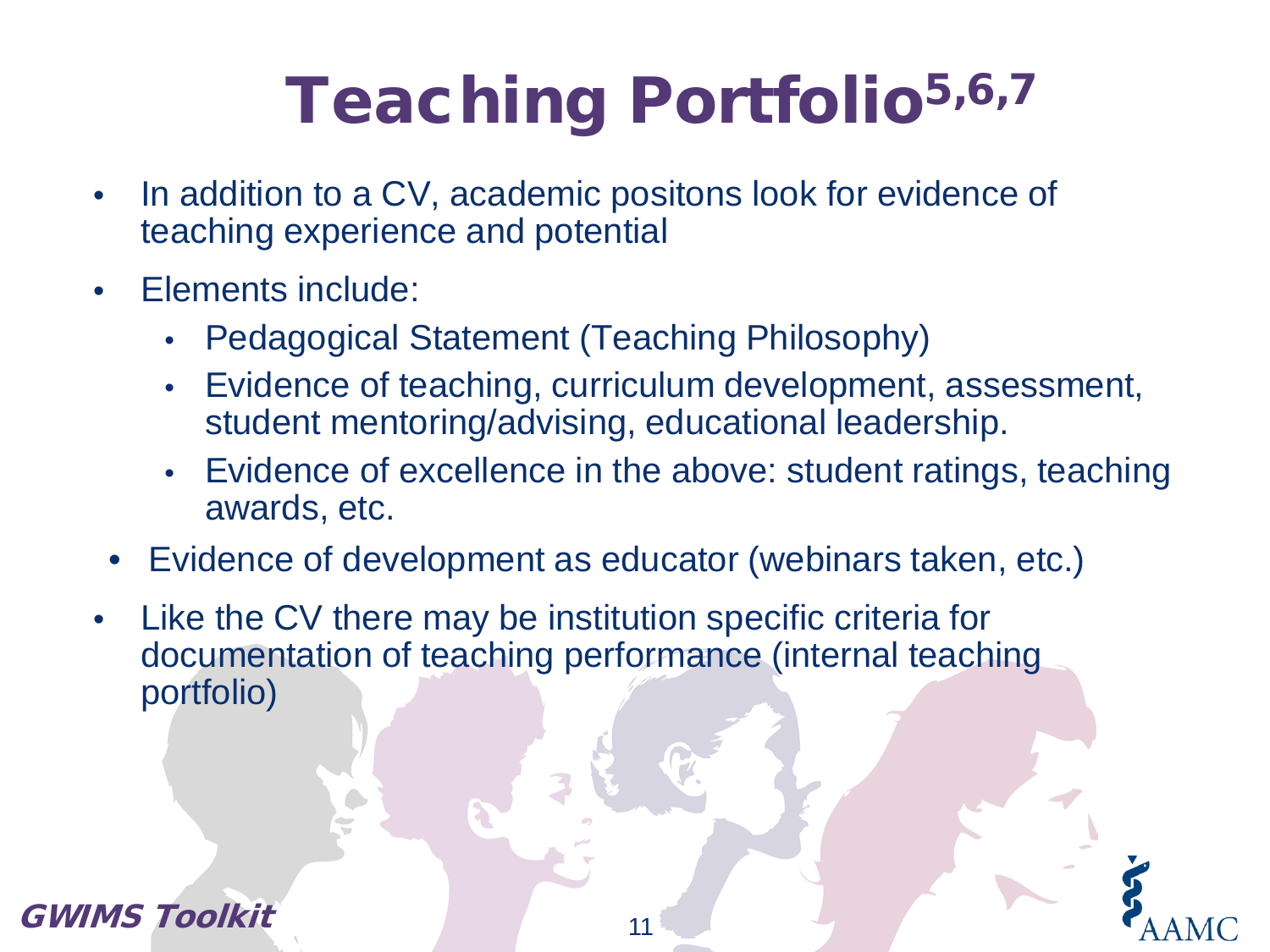# Teaching Portfolio<sup>5,6,7</sup>

- In addition to a CV, academic positons look for evidence of teaching experience and potential
- Elements include:
	- Pedagogical Statement (Teaching Philosophy)
	- Evidence of teaching, curriculum development, assessment, student mentoring/advising, educational leadership.
	- Evidence of excellence in the above: student ratings, teaching awards, etc.
- Evidence of development as educator (webinars taken, etc.)
- Like the CV there may be institution specific criteria for documentation of teaching performance (internal teaching portfolio)

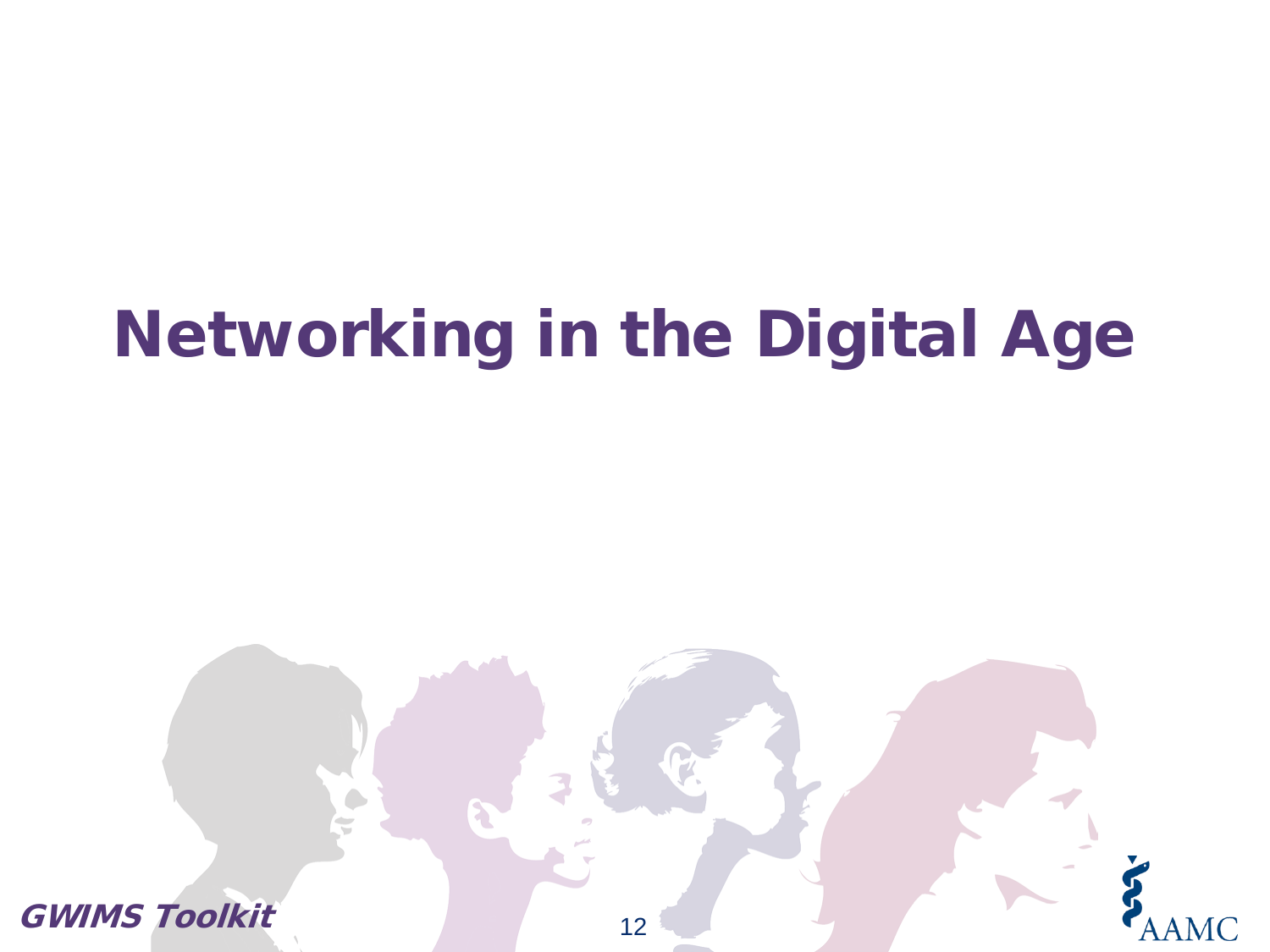# Networking in the Digital Age

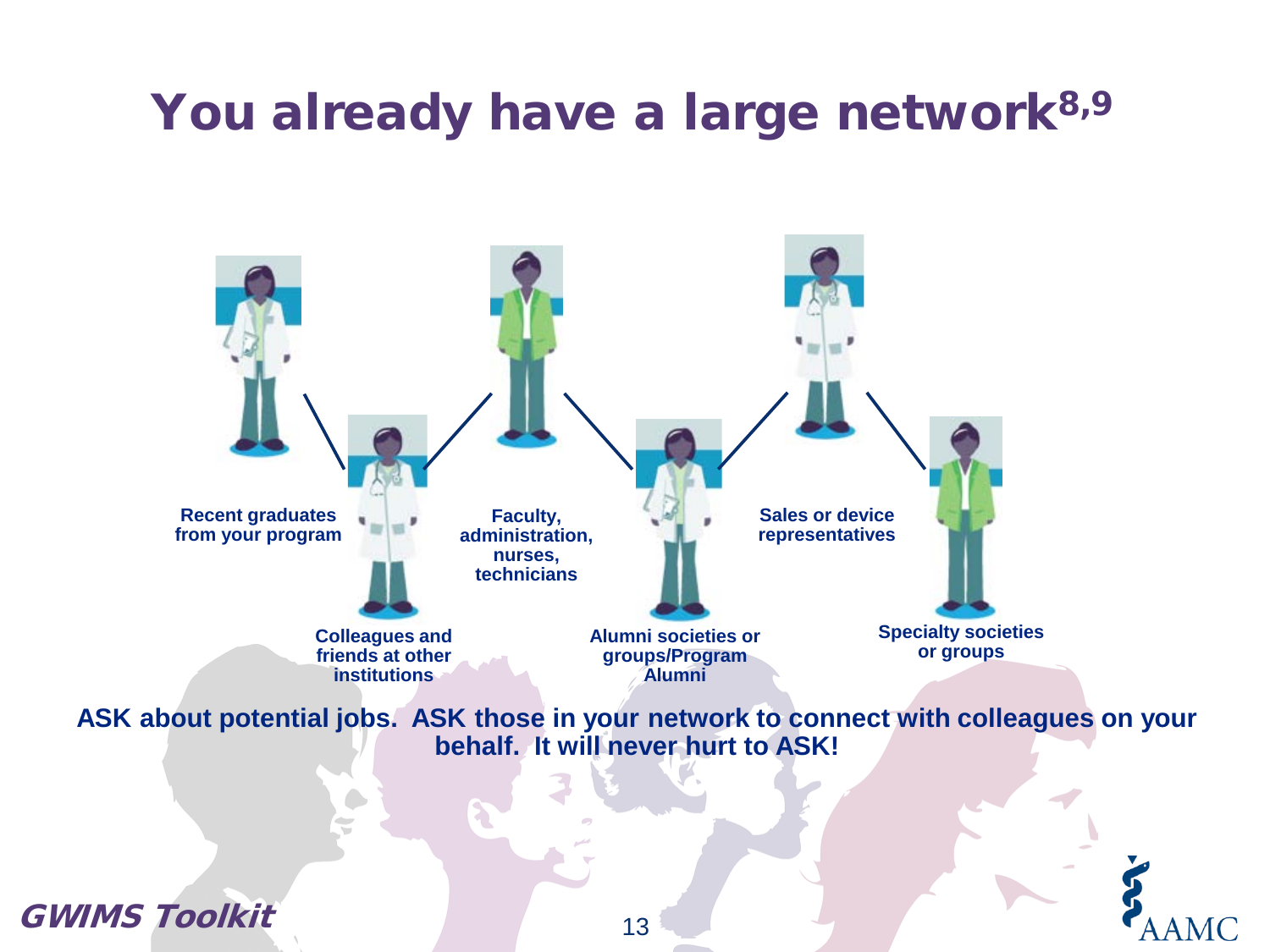### You already have a large network<sup>8,9</sup>



**ASK about potential jobs. ASK those in your network to connect with colleagues on your behalf. It will never hurt to ASK!**

GWIMS Toolkit

13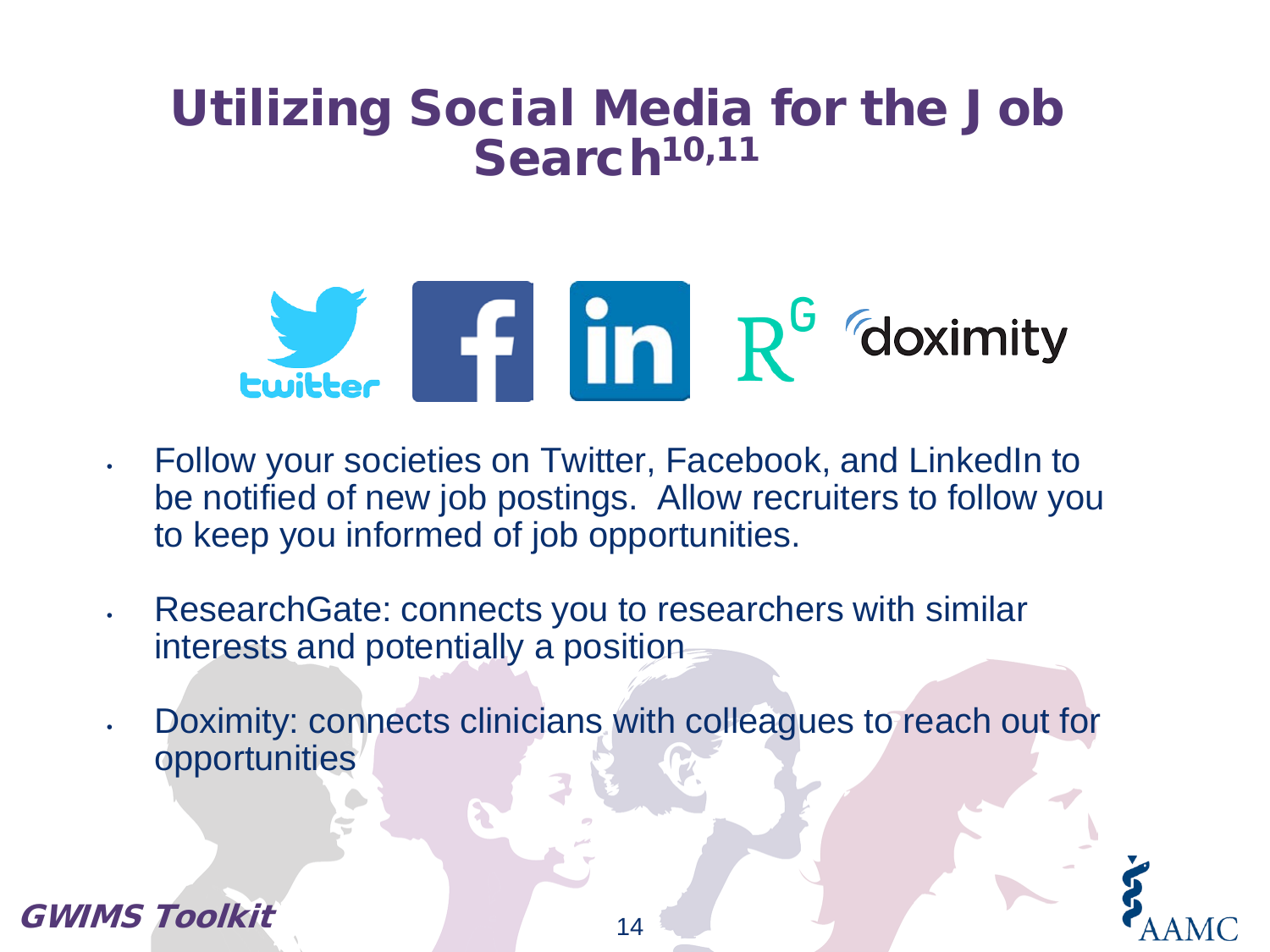### Utilizing Social Media for the Job Search<sup>10,11</sup>



- Follow your societies on Twitter, Facebook, and LinkedIn to be notified of new job postings. Allow recruiters to follow you to keep you informed of job opportunities.
- ResearchGate: connects you to researchers with similar interests and potentially a position
- Doximity: connects clinicians with colleagues to reach out for opportunities



GWIMS Toolkit

14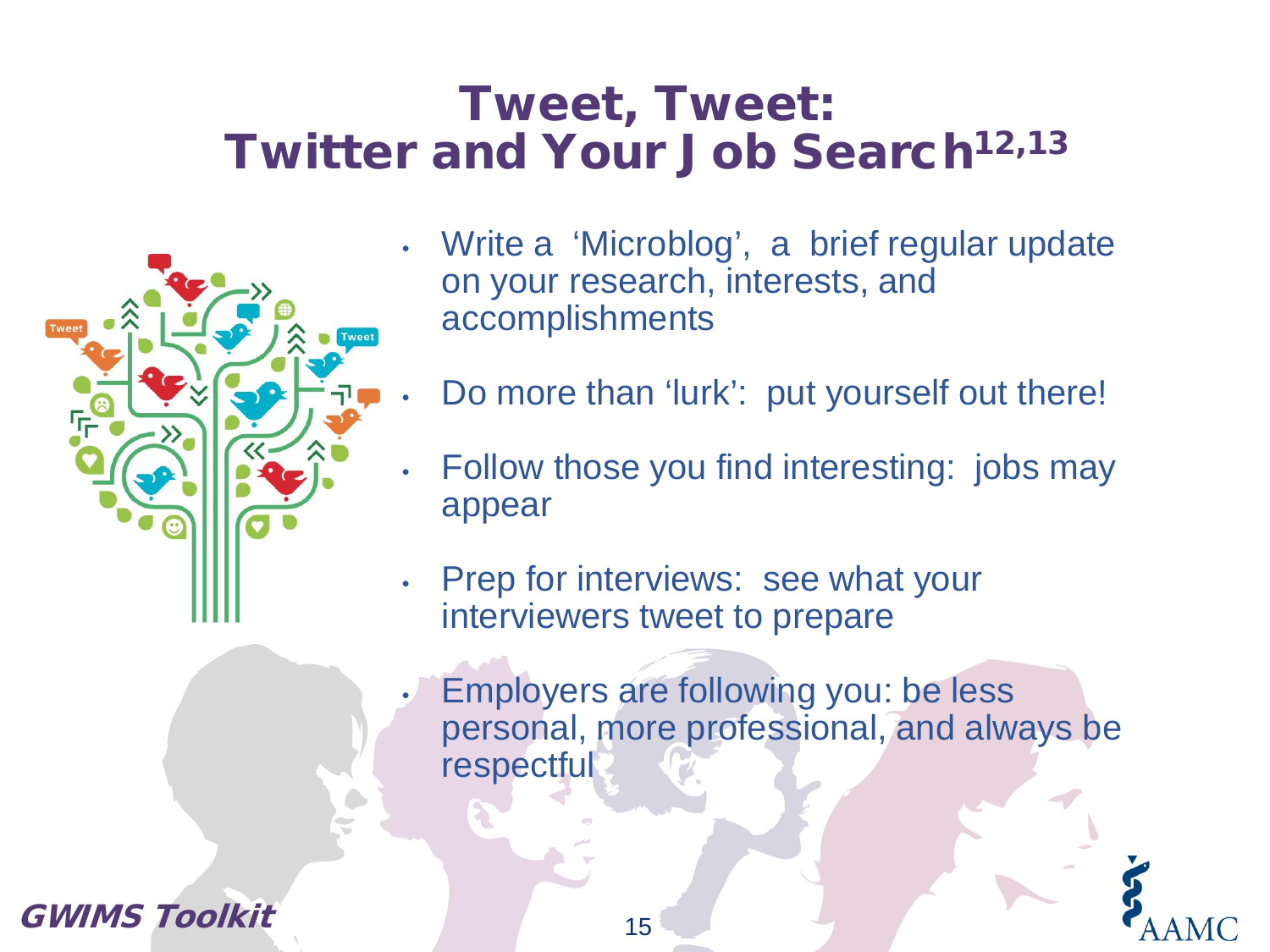### Tweet, Tweet: Twitter and Your Job Search<sup>12,13</sup>



- Write a 'Microblog', a brief regular update on your research, interests, and accomplishments
- Do more than 'lurk': put yourself out there!
- Follow those you find interesting: jobs may appear
- Prep for interviews: see what your interviewers tweet to prepare
- Employers are following you: be less personal, more professional, and always be respectful

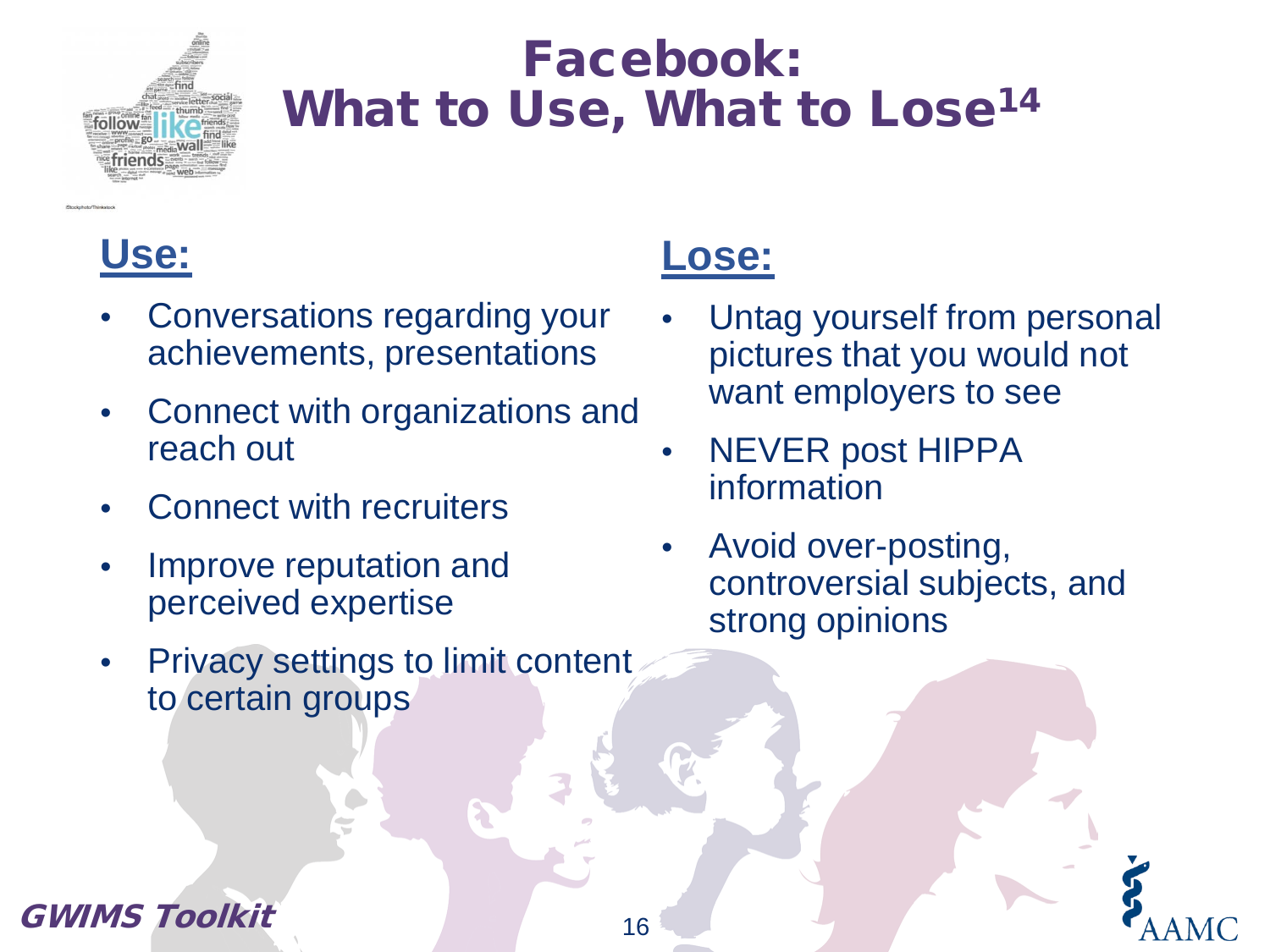

### Facebook: What to Use, What to Lose<sup>14</sup>



- Conversations regarding your achievements, presentations
- Connect with organizations and reach out
- **Connect with recruiters**
- Improve reputation and perceived expertise
- Privacy settings to limit content to certain groups

### **Lose:**

- Untag yourself from personal pictures that you would not want employers to see
- NEVER post HIPPA information
- Avoid over-posting, controversial subjects, and strong opinions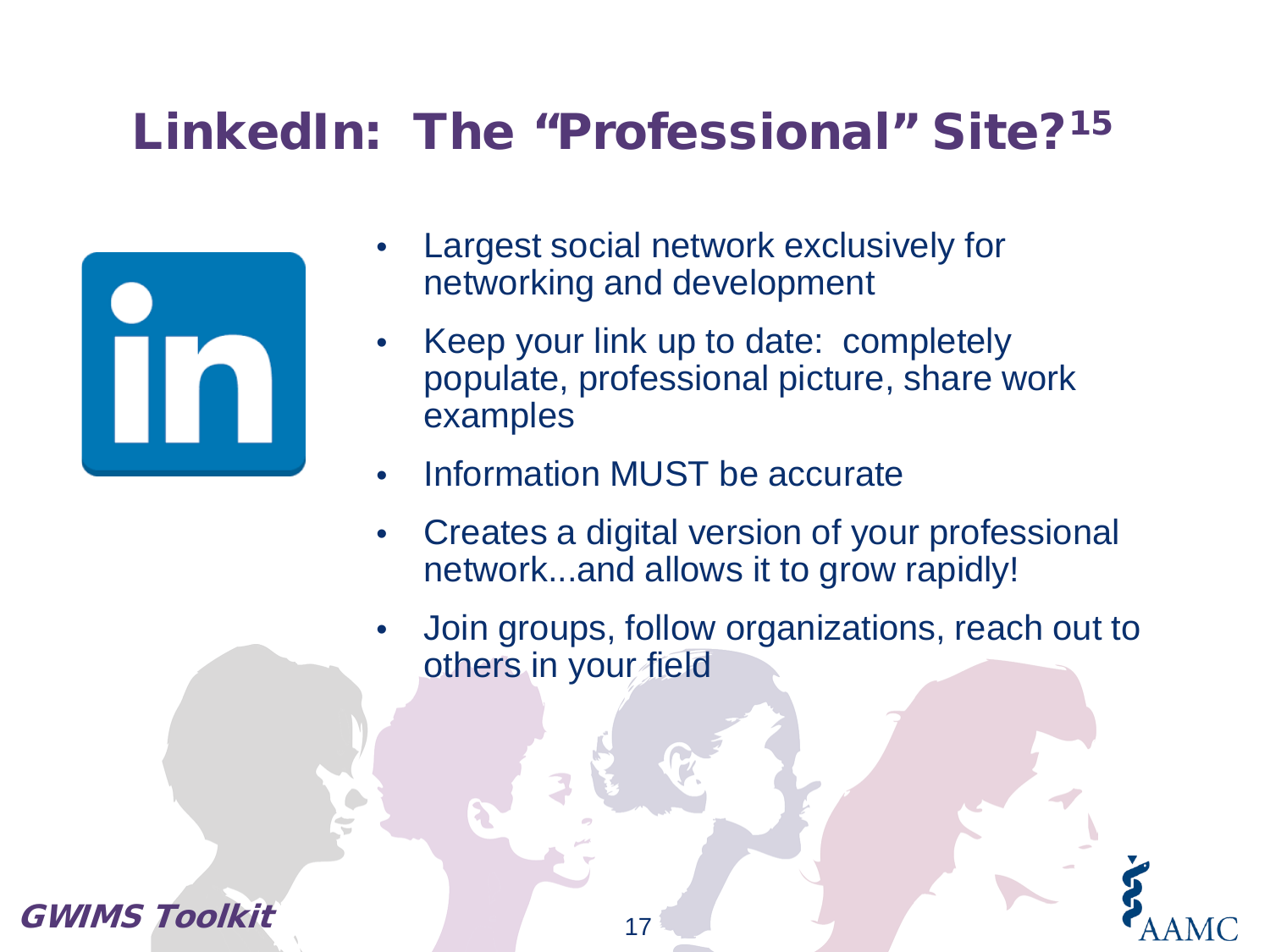### LinkedIn: The "Professional" Site?15

- Largest social network exclusively for networking and development
- Keep your link up to date: completely populate, professional picture, share work examples
- Information MUST be accurate
- Creates a digital version of your professional network...and allows it to grow rapidly!
- Join groups, follow organizations, reach out to others in your field

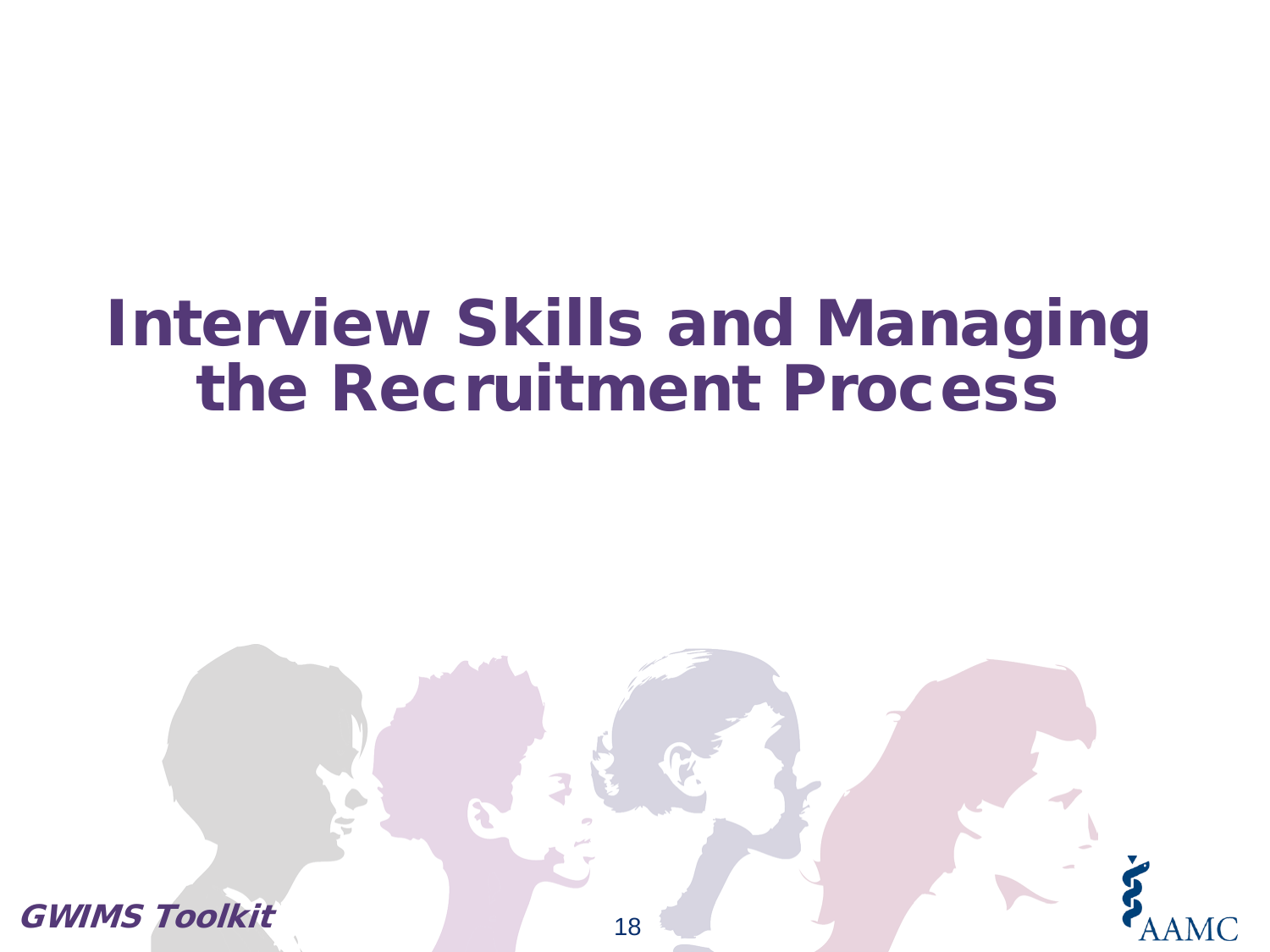# Interview Skills and Managing the Recruitment Process

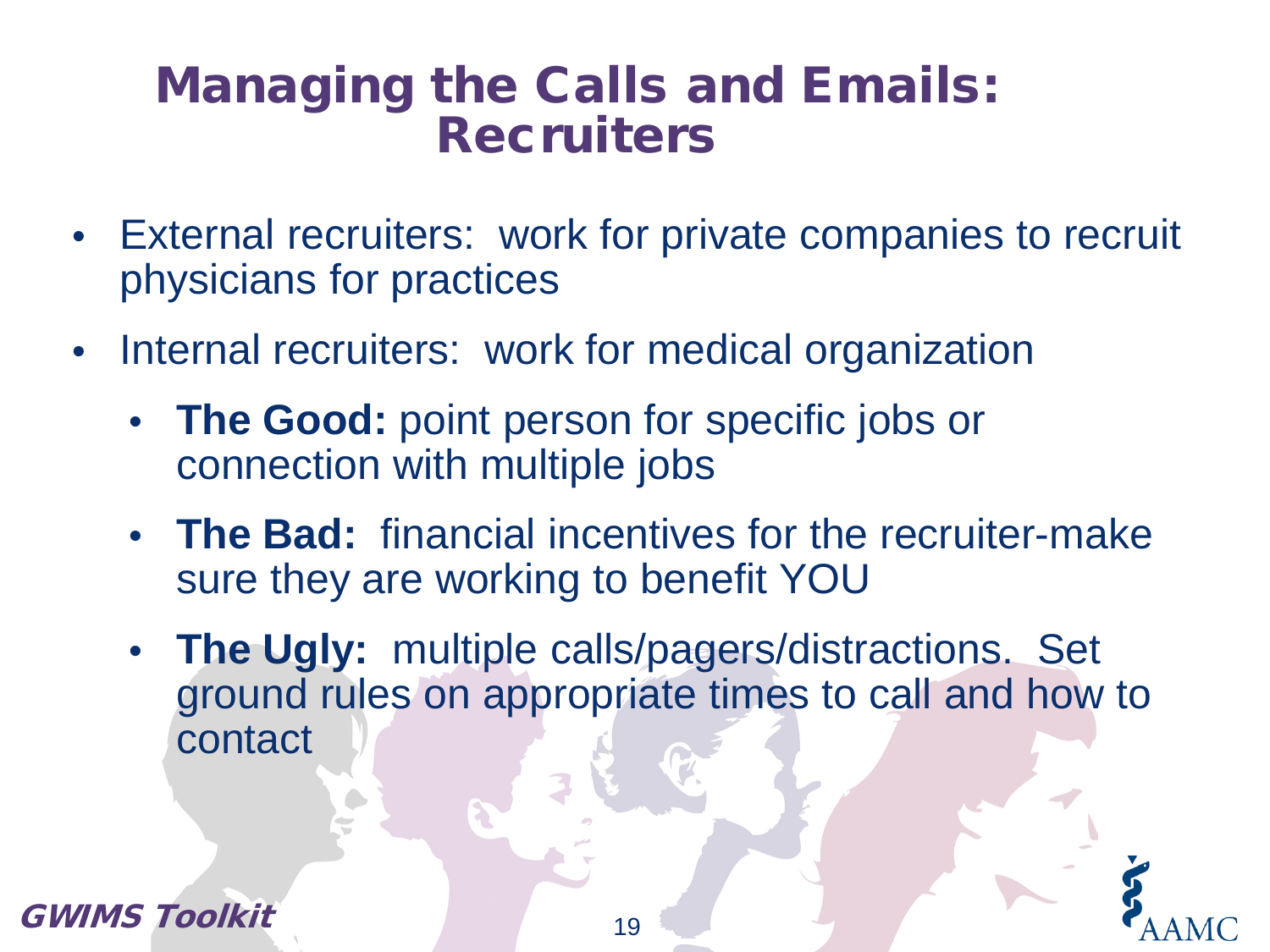### Managing the Calls and Emails: **Recruiters**

- External recruiters: work for private companies to recruit physicians for practices
- Internal recruiters: work for medical organization
	- **The Good:** point person for specific jobs or connection with multiple jobs
	- **The Bad:** financial incentives for the recruiter-make sure they are working to benefit YOU
	- **The Ugly:** multiple calls/pagers/distractions. Set ground rules on appropriate times to call and how to contact



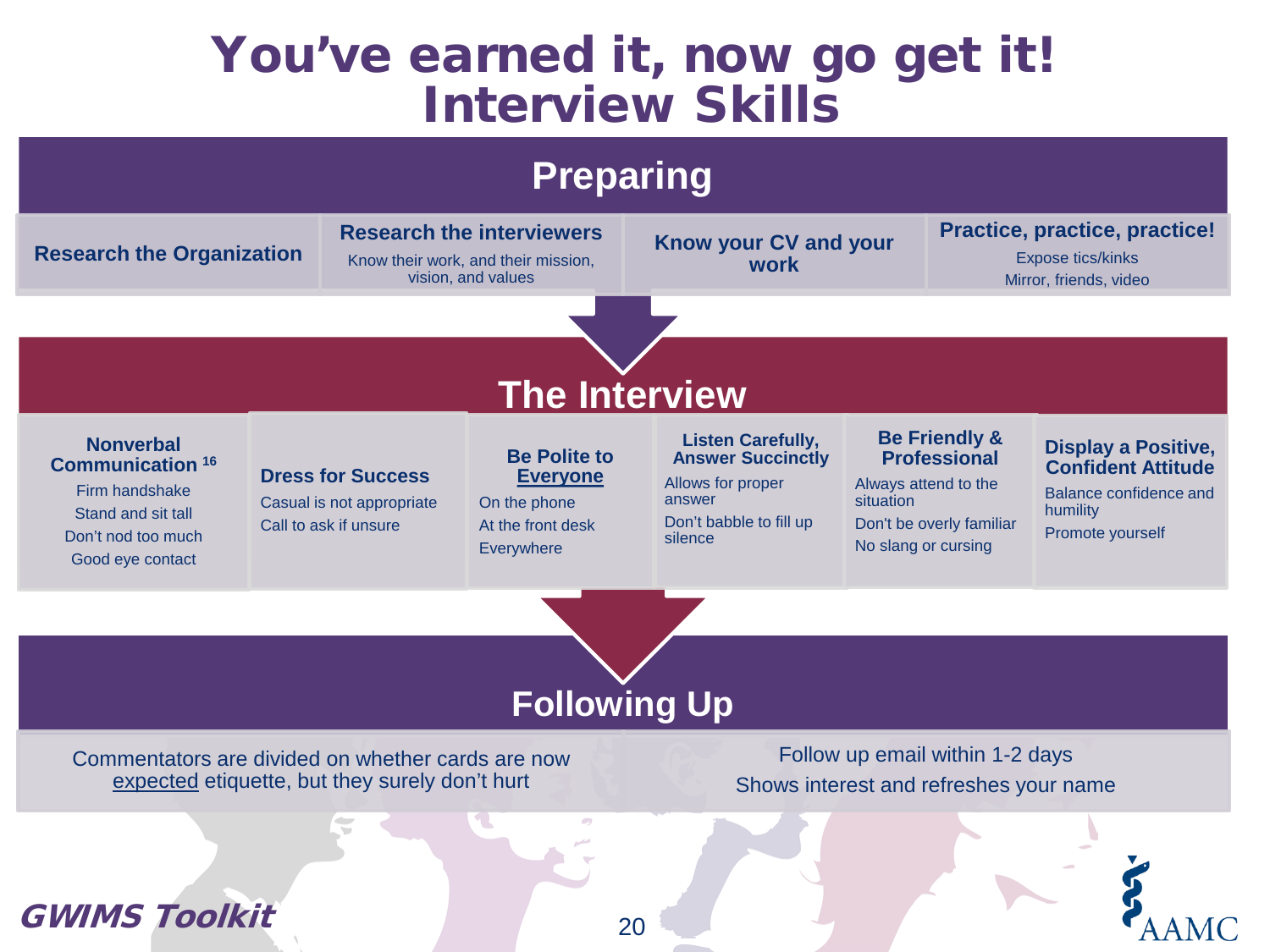### You've earned it, now go get it! Interview Skills

### **Preparing**

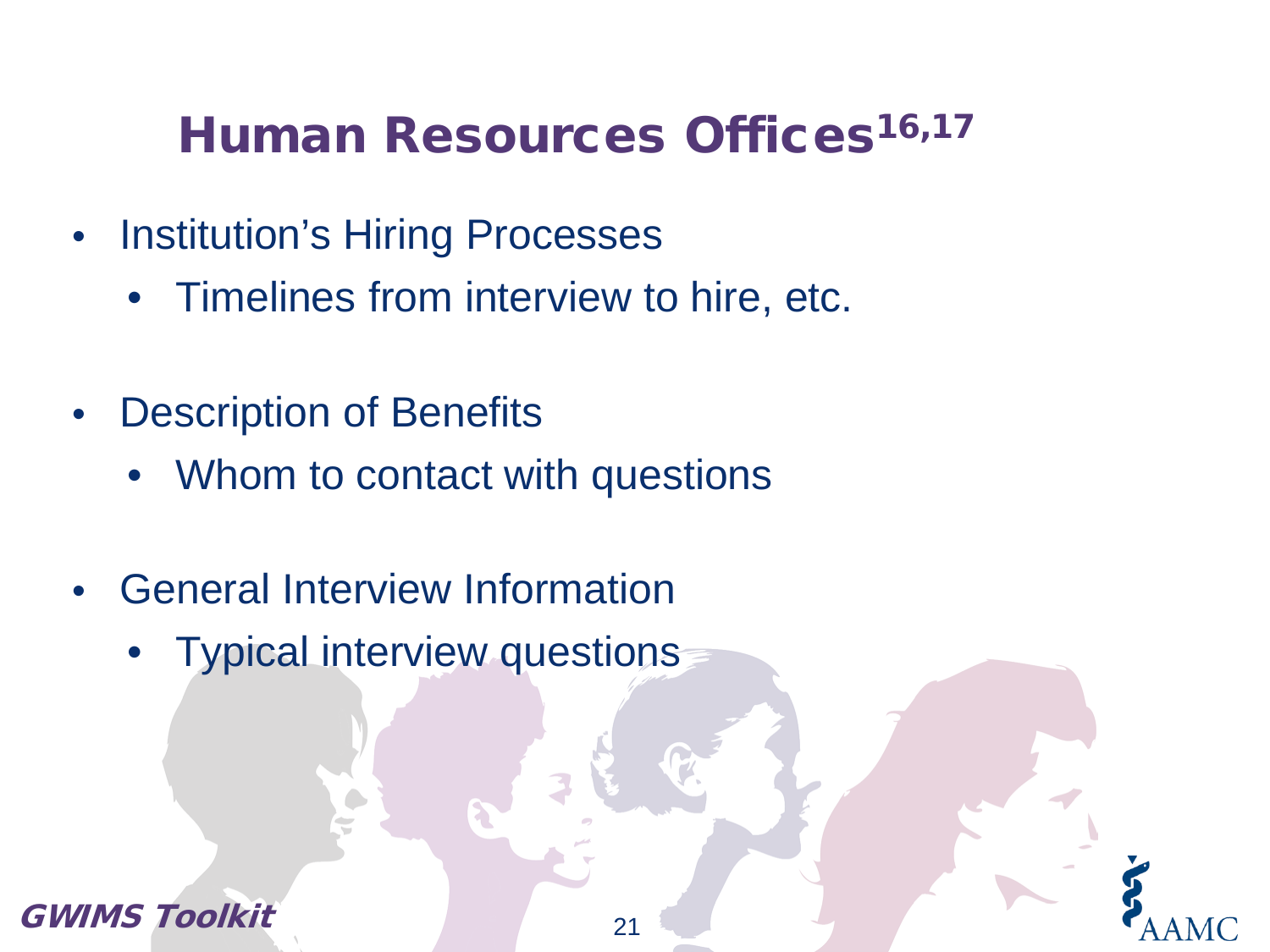## Human Resources Offices<sup>16,17</sup>

- Institution's Hiring Processes
	- Timelines from interview to hire, etc.
- Description of Benefits
	- Whom to contact with questions
- General Interview Information
	- Typical interview questions

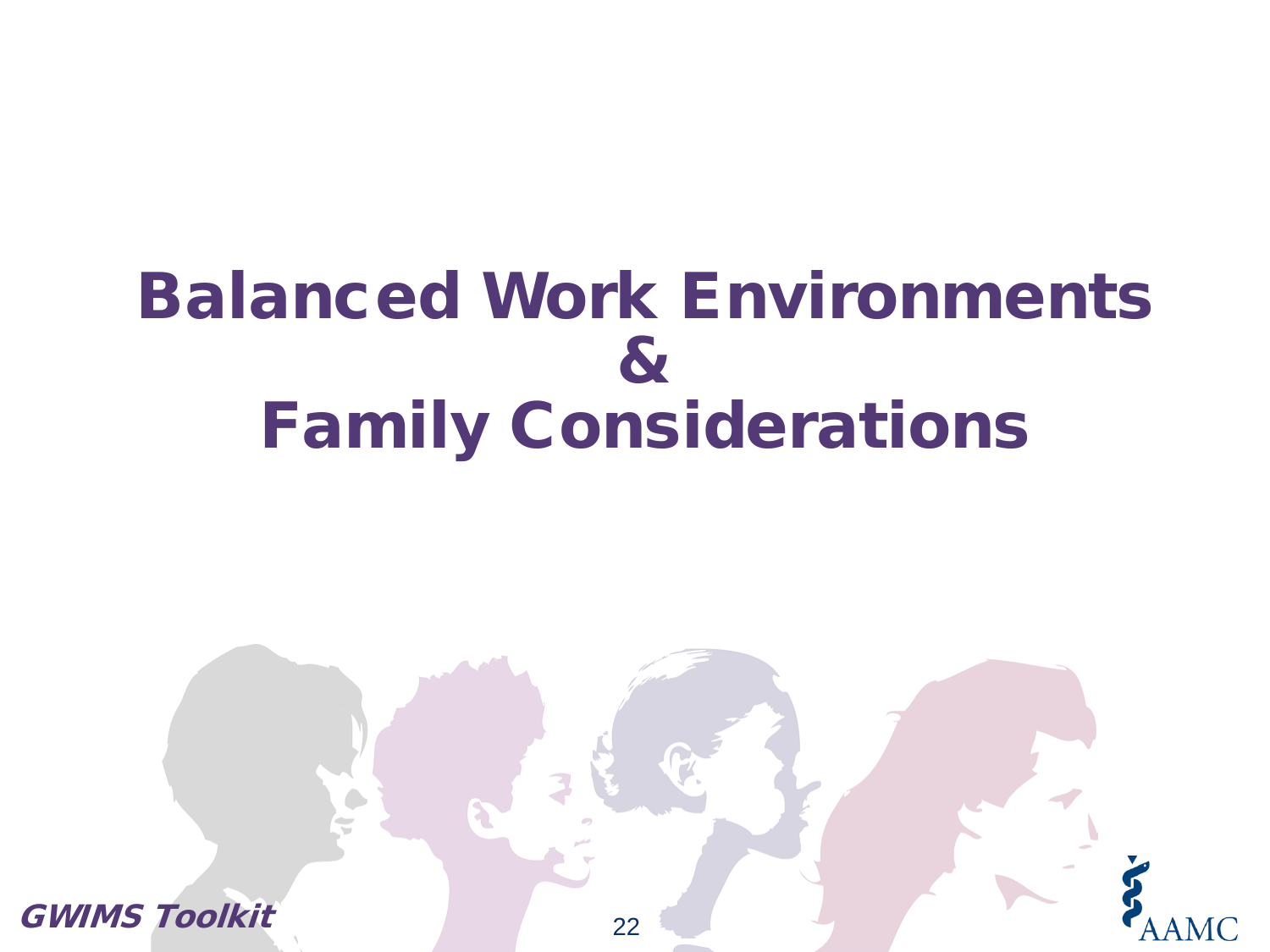# Balanced Work Environments & Family Considerations

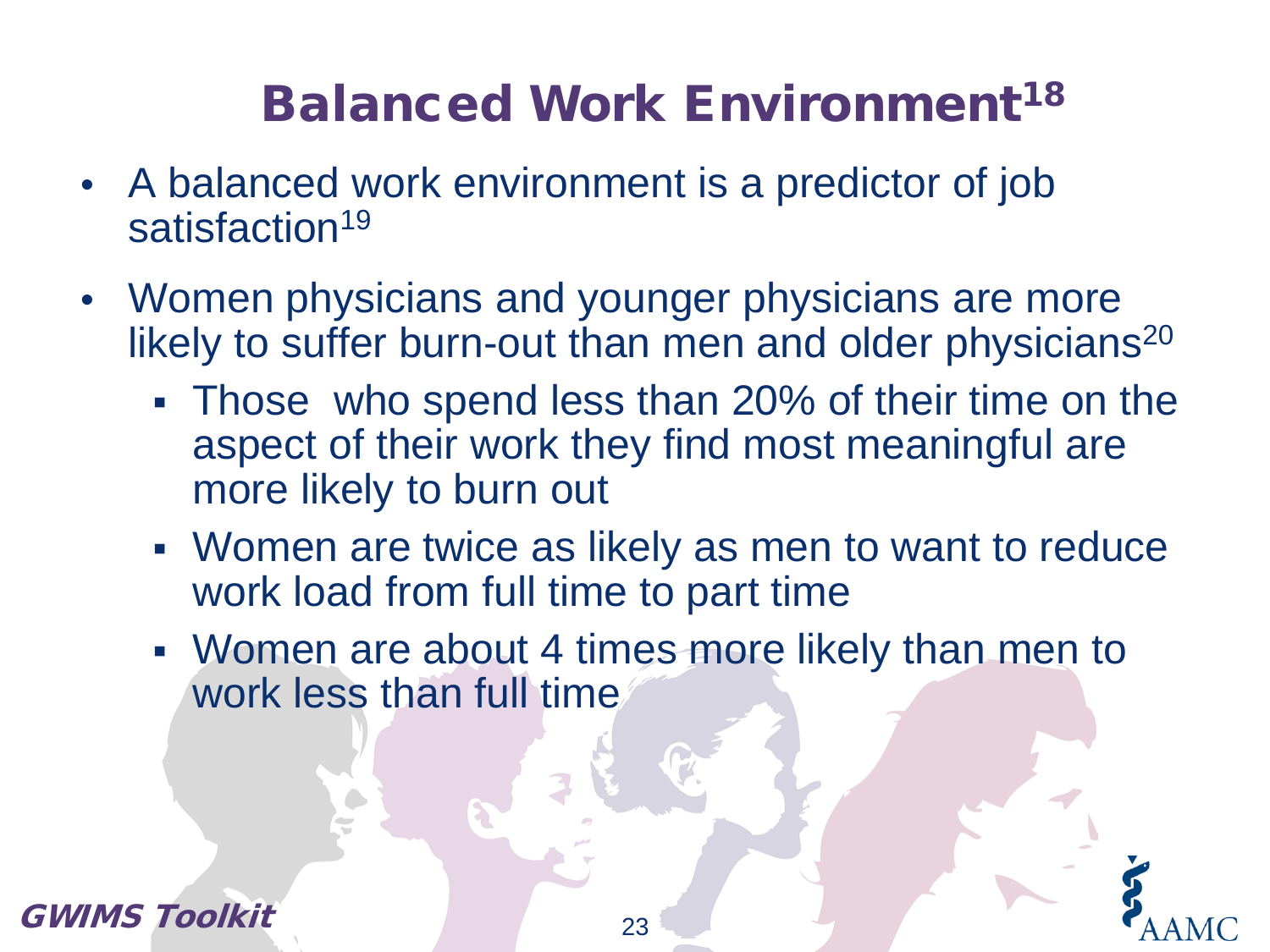# **Balanced Work Environment<sup>18</sup>**

- A balanced work environment is a predictor of job satisfaction<sup>19</sup>
- Women physicians and younger physicians are more likely to suffer burn-out than men and older physicians<sup>20</sup>
	- Those who spend less than 20% of their time on the aspect of their work they find most meaningful are more likely to burn out
	- Women are twice as likely as men to want to reduce work load from full time to part time
	- Women are about 4 times more likely than men to work less than full time

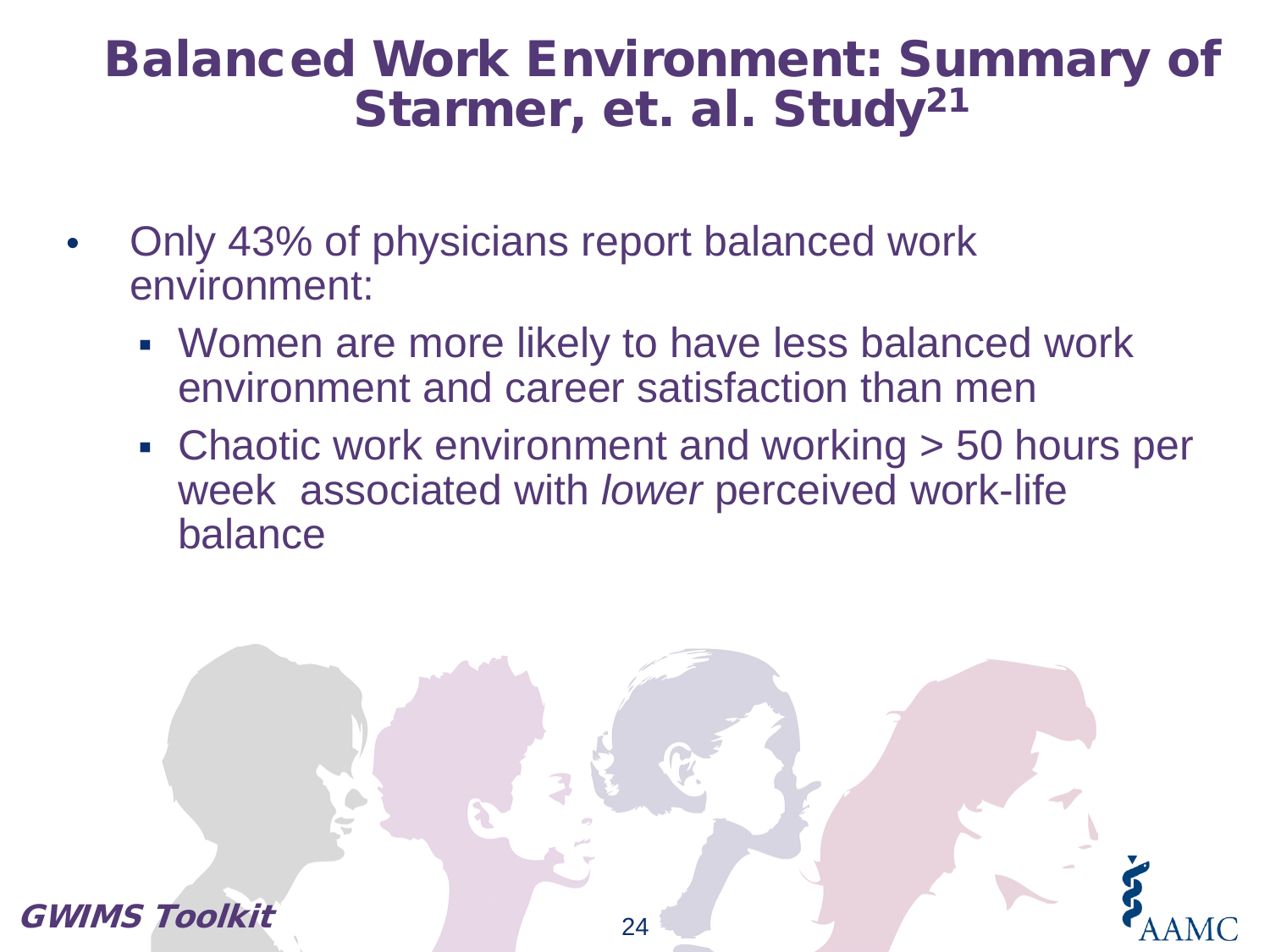### Balanced Work Environment: Summary of Starmer, et. al. Study<sup>21</sup>

- Only 43% of physicians report balanced work environment:
	- Women are more likely to have less balanced work environment and career satisfaction than men
	- Chaotic work environment and working > 50 hours per week associated with *lower* perceived work-life balance

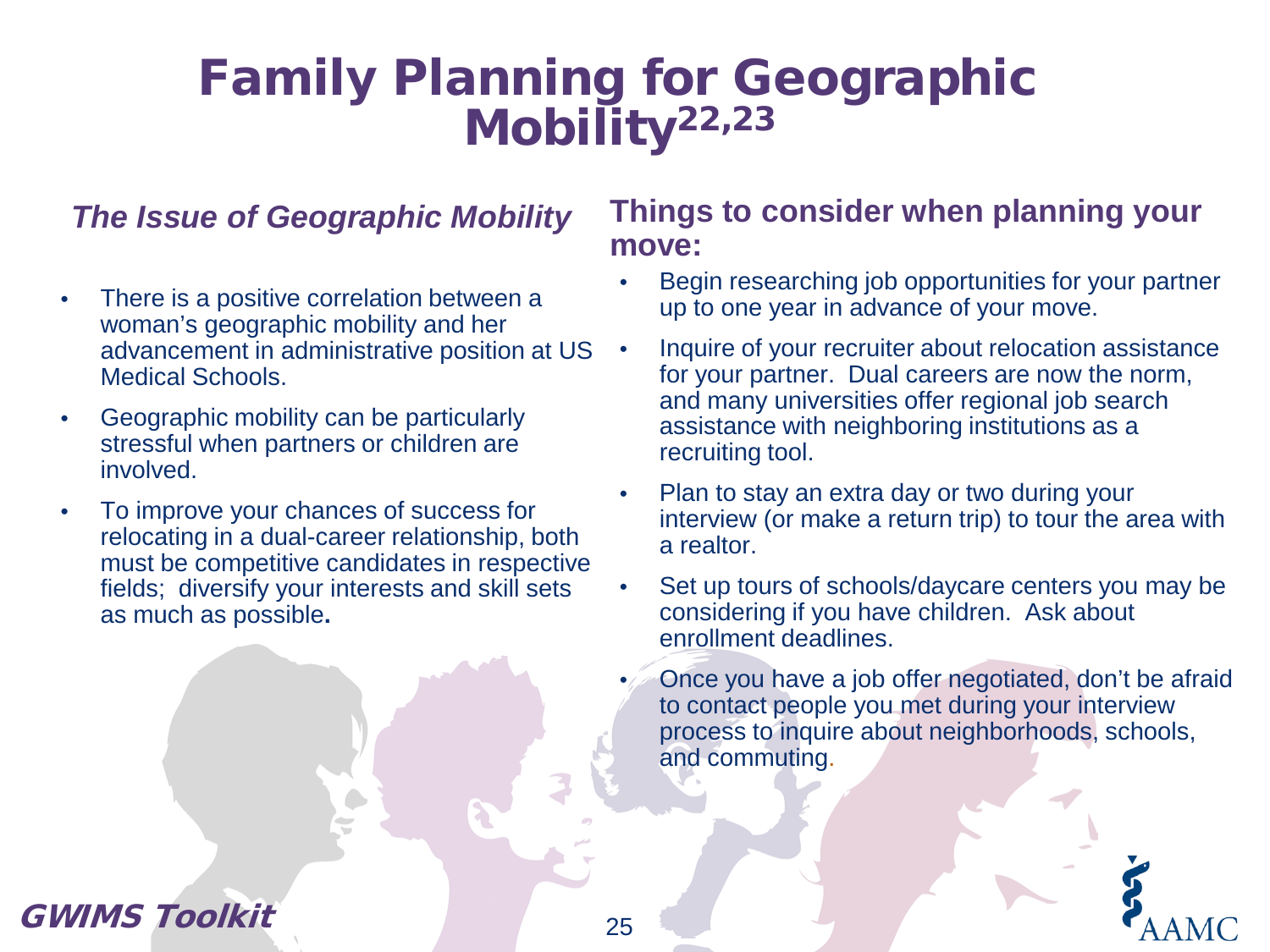### Family Planning for Geographic Mobility<sup>22,23</sup>

#### *The Issue of Geographic Mobility*

- There is a positive correlation between a woman's geographic mobility and her advancement in administrative position at US Medical Schools.
- Geographic mobility can be particularly stressful when partners or children are involved.
- To improve your chances of success for relocating in a dual-career relationship, both must be competitive candidates in respective fields; diversify your interests and skill sets as much as possible**.**

#### **Things to consider when planning your move:**

- Begin researching job opportunities for your partner up to one year in advance of your move.
- Inquire of your recruiter about relocation assistance for your partner. Dual careers are now the norm, and many universities offer regional job search assistance with neighboring institutions as a recruiting tool.
- Plan to stay an extra day or two during your interview (or make a return trip) to tour the area with a realtor.
- Set up tours of schools/daycare centers you may be considering if you have children. Ask about enrollment deadlines.
- Once you have a job offer negotiated, don't be afraid to contact people you met during your interview process to inquire about neighborhoods, schools, and commuting.

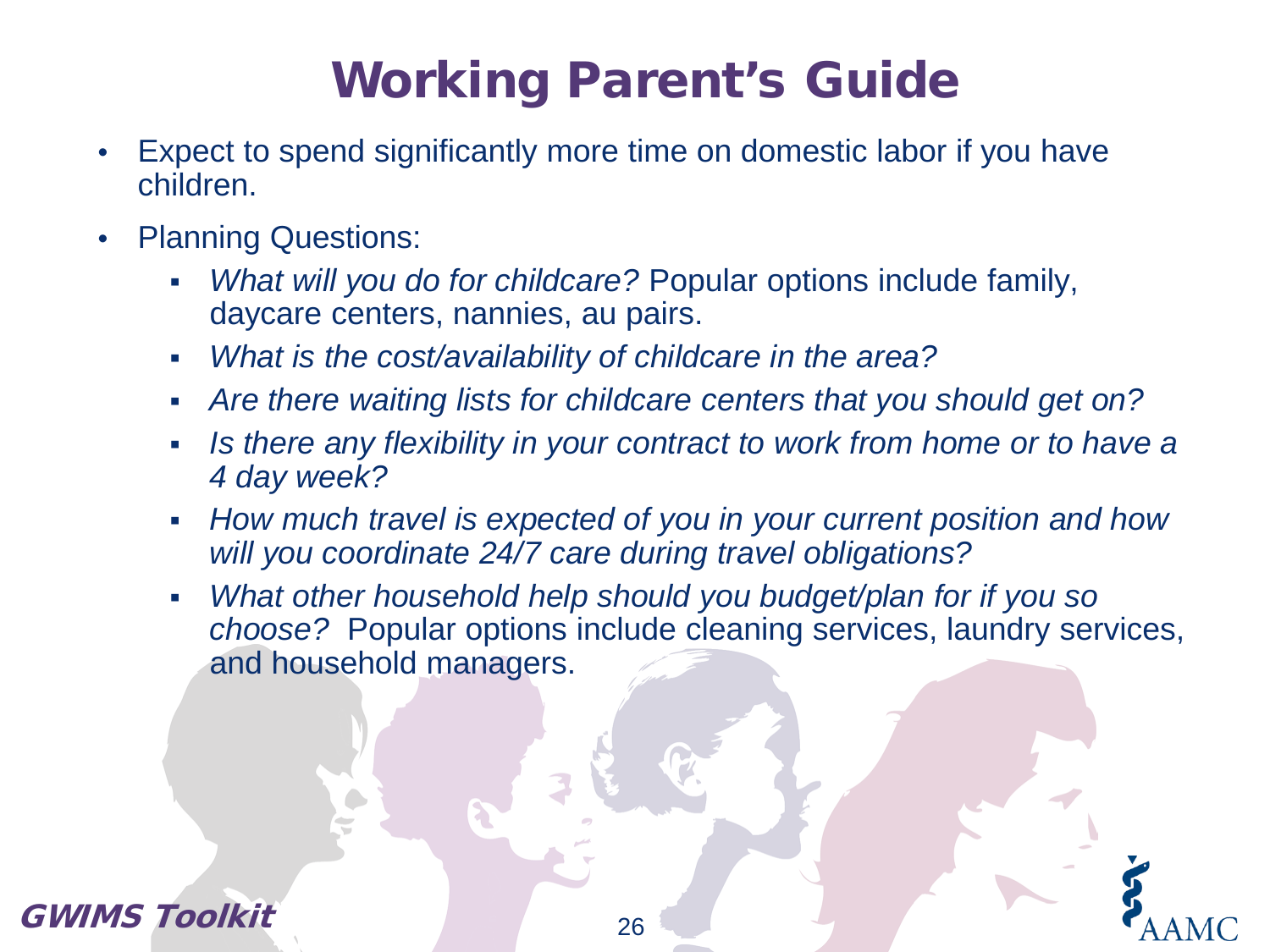# Working Parent's Guide

- Expect to spend significantly more time on domestic labor if you have children.
- Planning Questions:
	- *What will you do for childcare?* Popular options include family, daycare centers, nannies, au pairs.
	- *What is the cost/availability of childcare in the area?*
	- *Are there waiting lists for childcare centers that you should get on?*
	- *Is there any flexibility in your contract to work from home or to have a 4 day week?*
	- *How much travel is expected of you in your current position and how will you coordinate 24/7 care during travel obligations?*
	- *What other household help should you budget/plan for if you so choose?* Popular options include cleaning services, laundry services, and household managers.

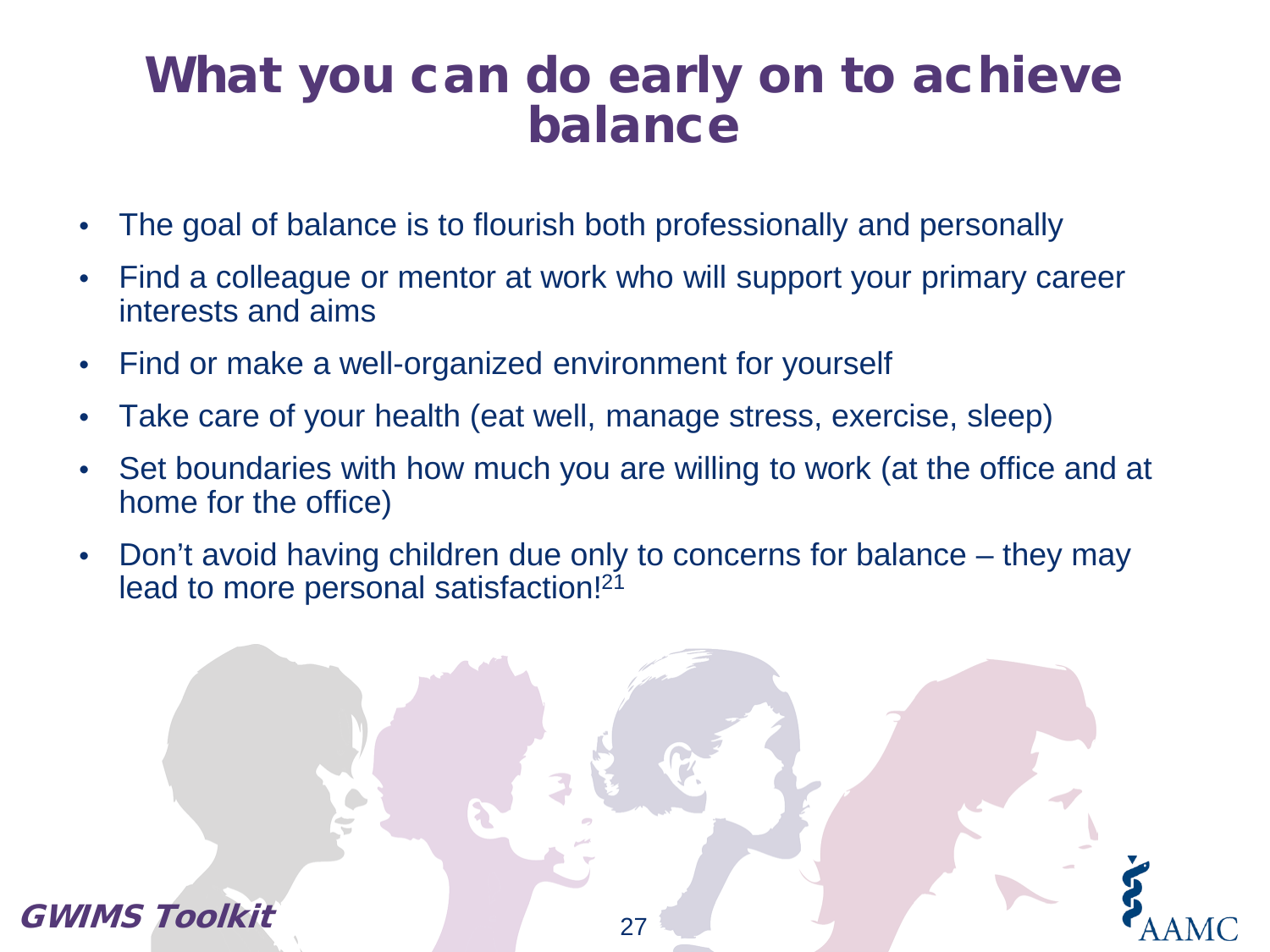### What you can do early on to achieve balance

- The goal of balance is to flourish both professionally and personally
- Find a colleague or mentor at work who will support your primary career interests and aims
- Find or make a well-organized environment for yourself
- Take care of your health (eat well, manage stress, exercise, sleep)
- Set boundaries with how much you are willing to work (at the office and at home for the office)
- Don't avoid having children due only to concerns for balance they may lead to more personal satisfaction!<sup>21</sup>

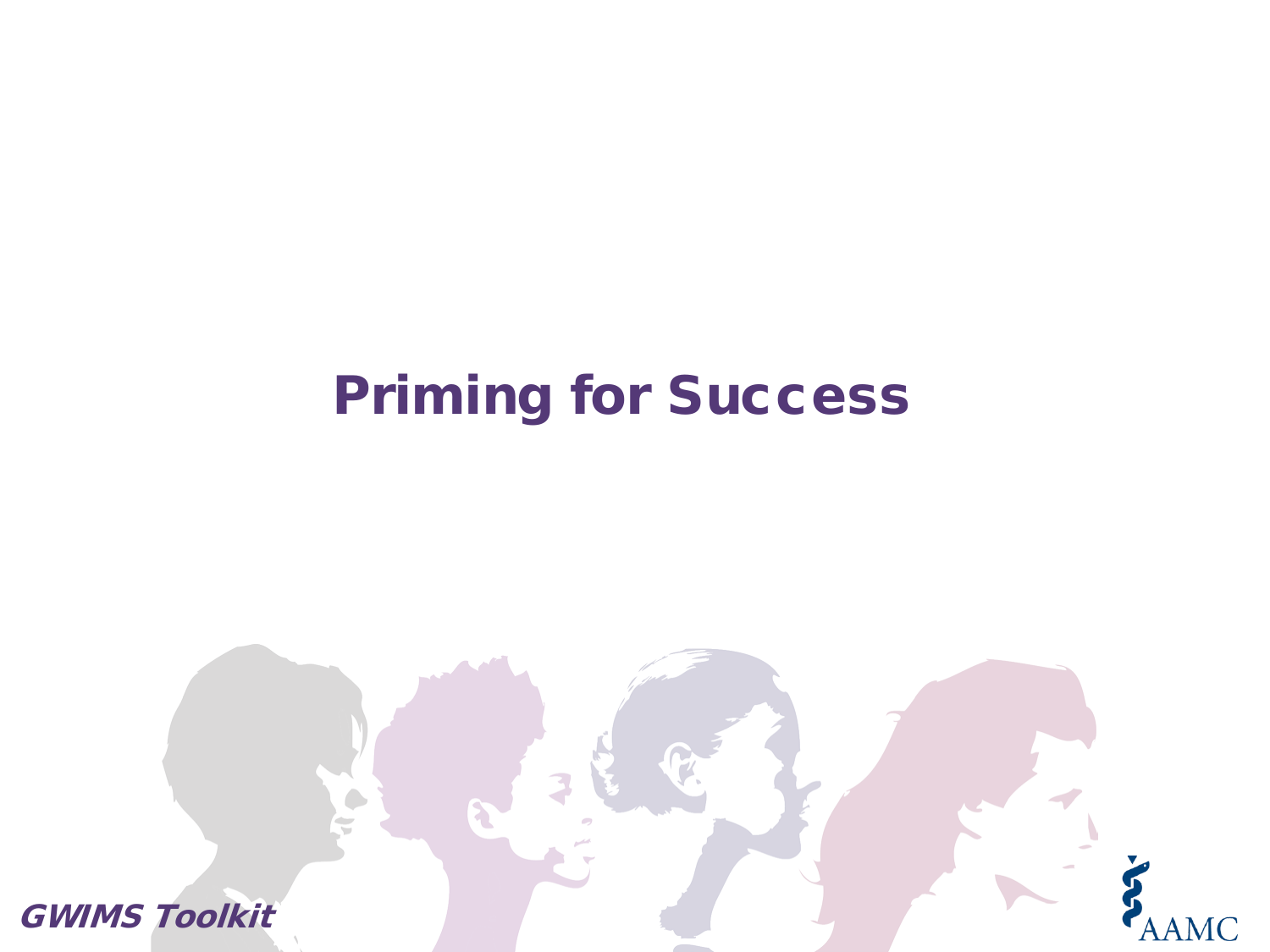## Priming for Success

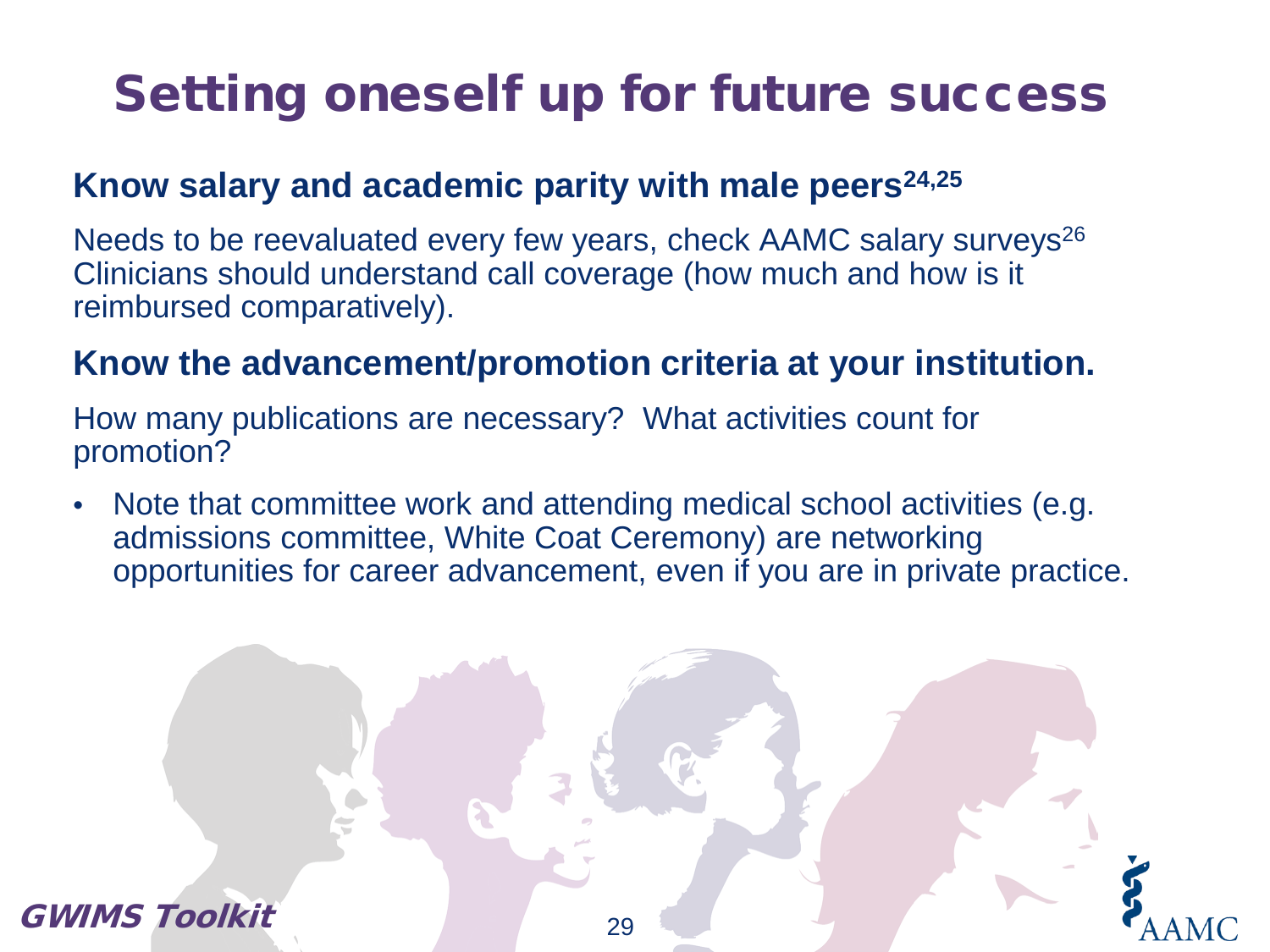# Setting oneself up for future success

### **Know salary and academic parity with male peers24,25**

Needs to be reevaluated every few years, check AAMC salary surveys<sup>26</sup> Clinicians should understand call coverage (how much and how is it reimbursed comparatively).

#### **Know the advancement/promotion criteria at your institution.**

How many publications are necessary? What activities count for promotion?

• Note that committee work and attending medical school activities (e.g. admissions committee, White Coat Ceremony) are networking opportunities for career advancement, even if you are in private practice.

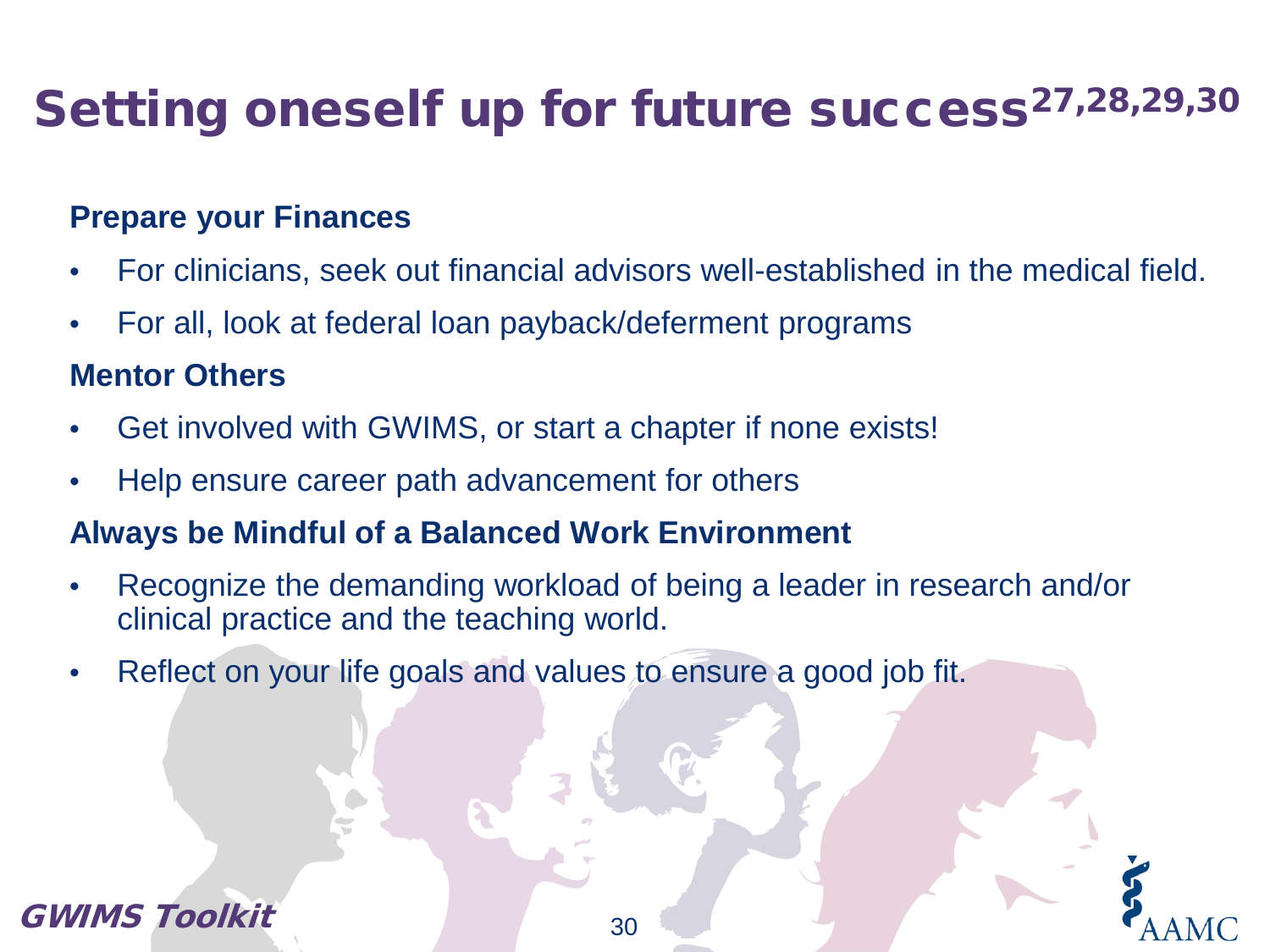# Setting oneself up for future success<sup>27,28,29,30</sup>

#### **Prepare your Finances**

- For clinicians, seek out financial advisors well-established in the medical field.
- For all, look at federal loan payback/deferment programs

#### **Mentor Others**

- Get involved with GWIMS, or start a chapter if none exists!
- Help ensure career path advancement for others

#### **Always be Mindful of a Balanced Work Environment**

- Recognize the demanding workload of being a leader in research and/or clinical practice and the teaching world.
- Reflect on your life goals and values to ensure a good job fit.

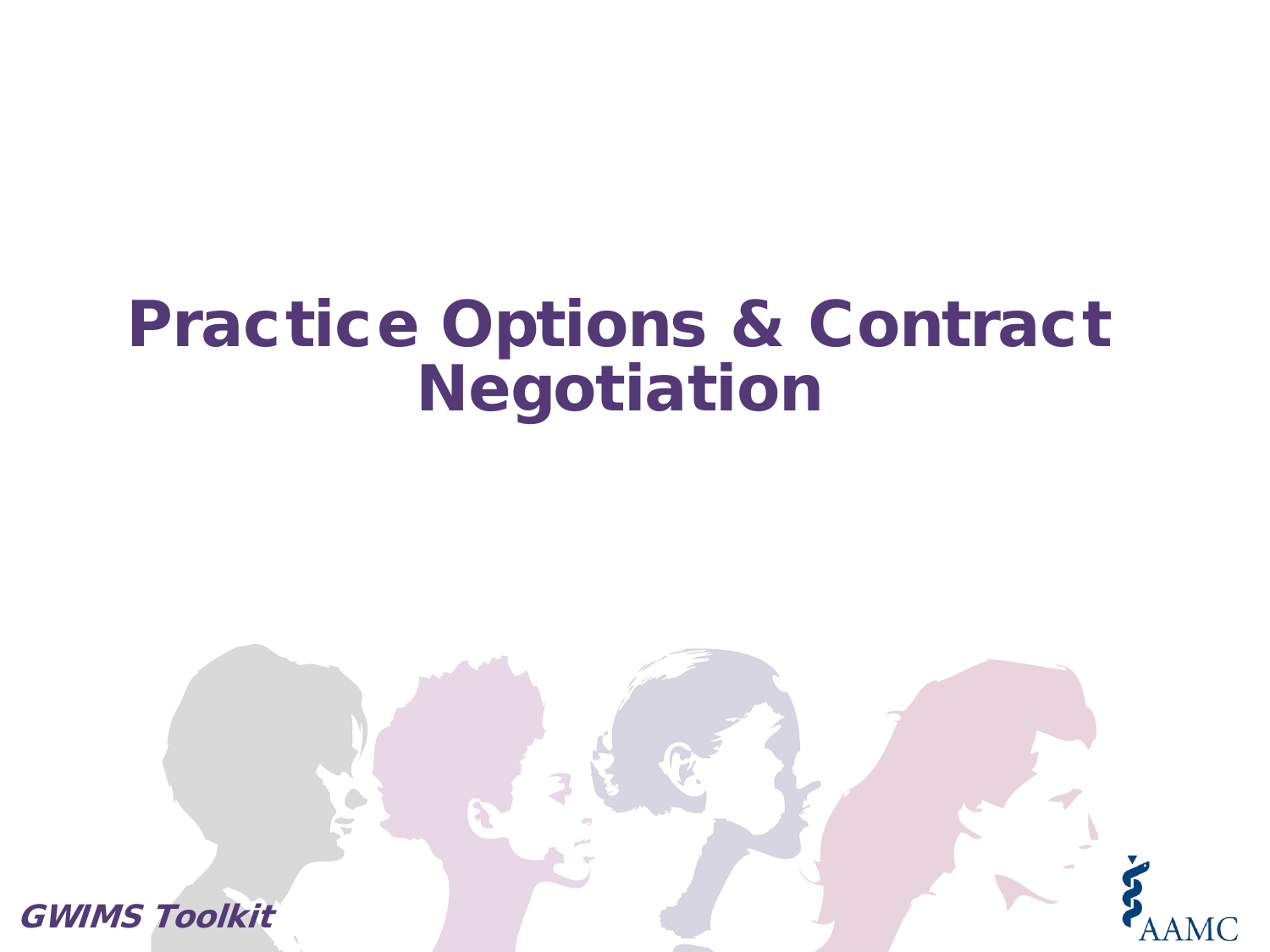# Practice Options & Contract Negotiation

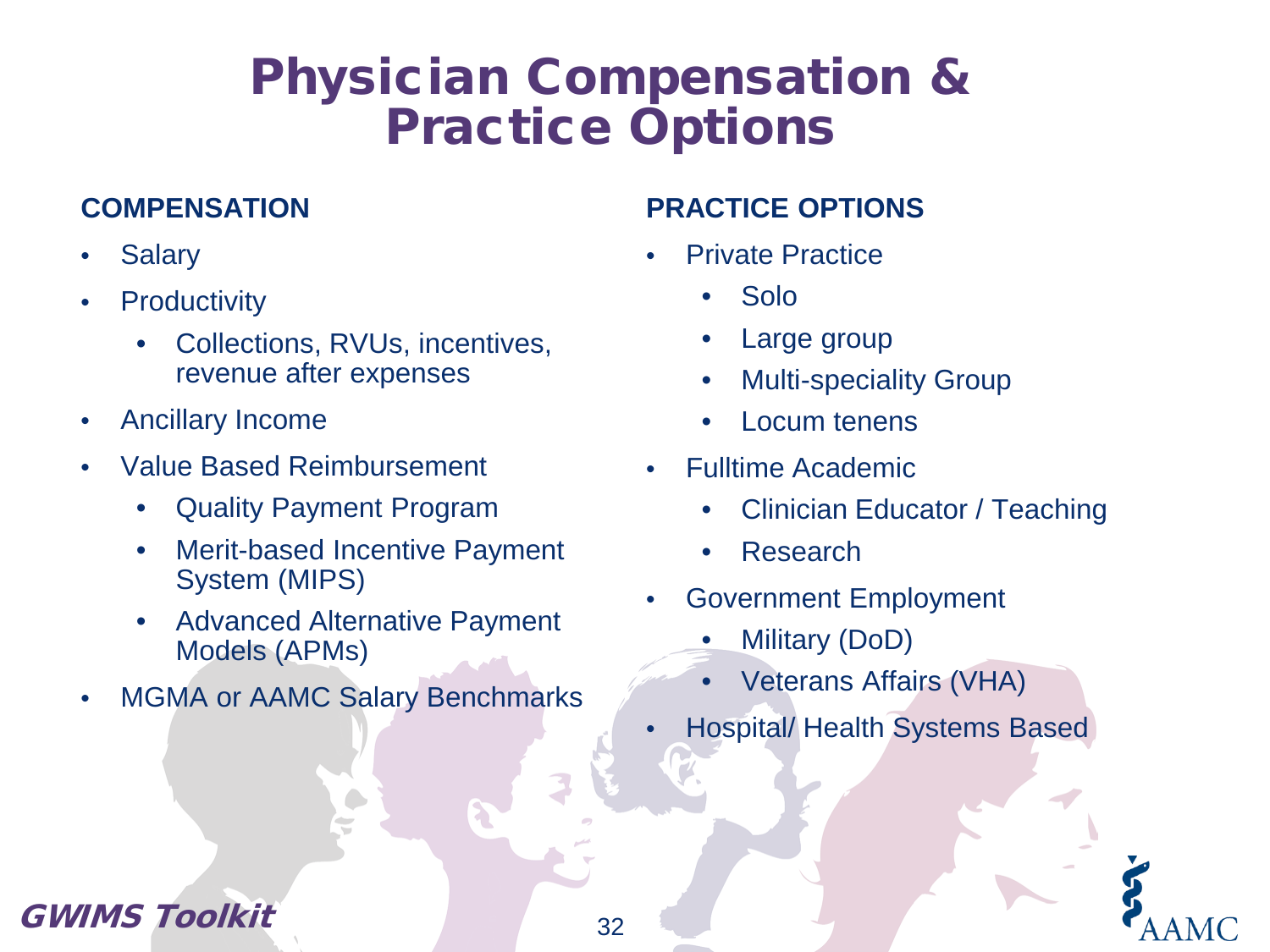### Physician Compensation & Practice Options

#### **COMPENSATION**

- **Salary**
- **Productivity** 
	- Collections, RVUs, incentives, revenue after expenses
- Ancillary Income
- Value Based Reimbursement
	- Quality Payment Program
	- Merit-based Incentive Payment System (MIPS)
	- Advanced Alternative Payment Models (APMs)
- MGMA or AAMC Salary Benchmarks

#### **PRACTICE OPTIONS**

- **Private Practice** 
	- Solo
	- Large group
	- **Multi-speciality Group**
	- Locum tenens
- Fulltime Academic
	- Clinician Educator / Teaching
	- Research
- Government Employment
	- Military (DoD)
	- Veterans Affairs (VHA)
- Hospital/ Health Systems Based

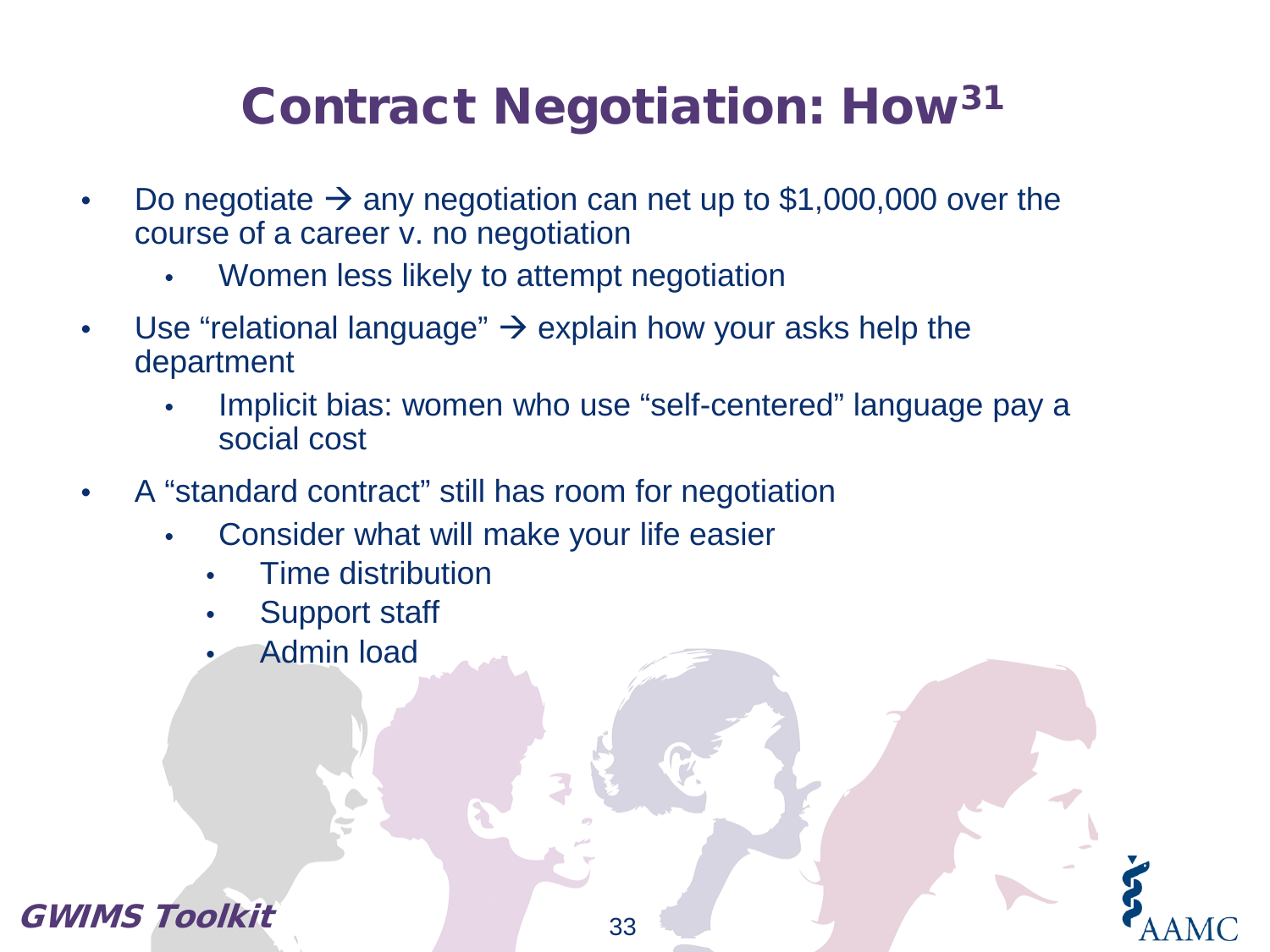# Contract Negotiation: How31

- Do negotiate  $\rightarrow$  any negotiation can net up to \$1,000,000 over the course of a career v. no negotiation
	- Women less likely to attempt negotiation
- Use "relational language"  $\rightarrow$  explain how your asks help the department
	- Implicit bias: women who use "self-centered" language pay a social cost
- A "standard contract" still has room for negotiation
	- Consider what will make your life easier
		- Time distribution
		- Support staff
		- Admin load

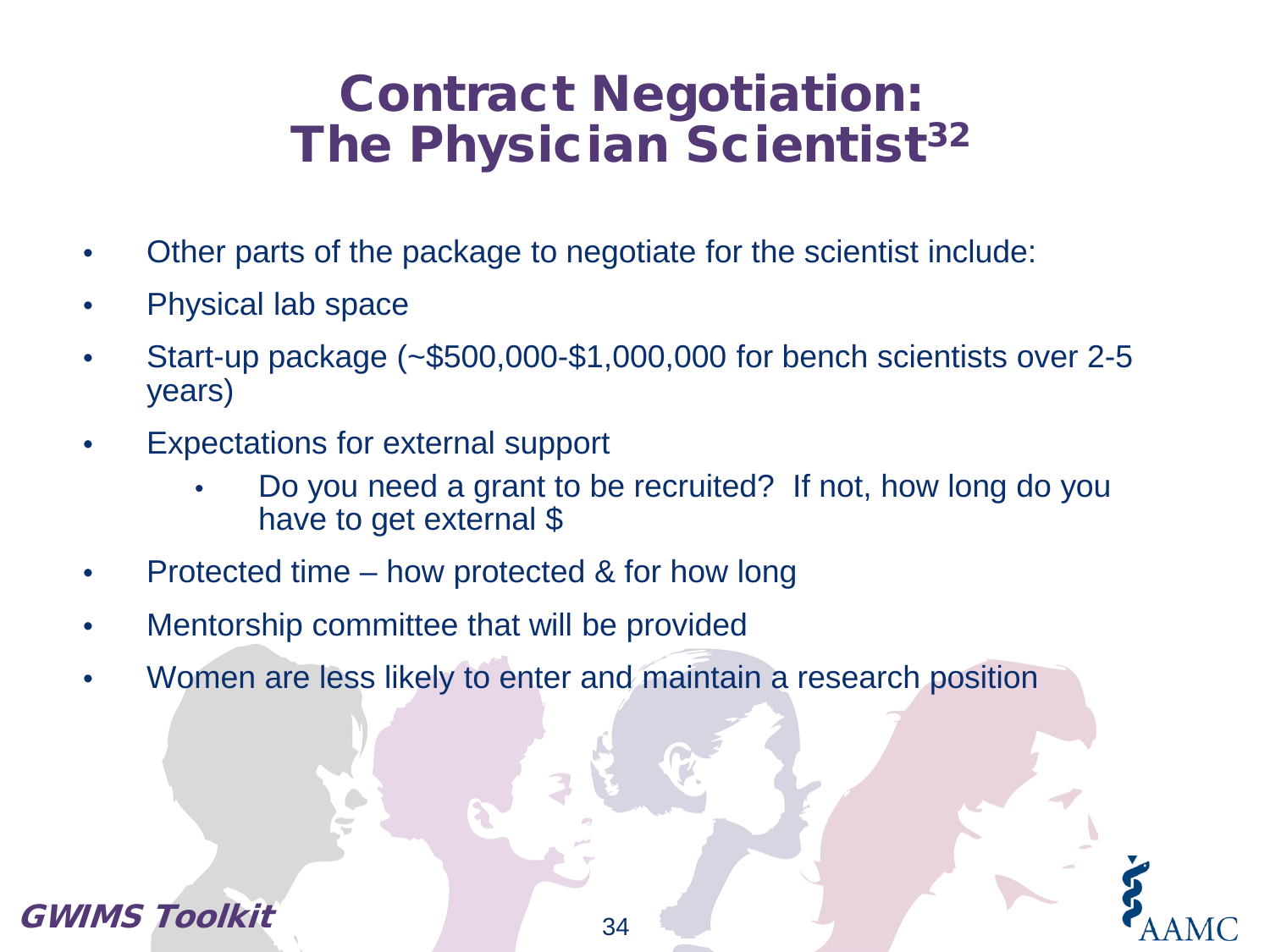### Contract Negotiation: The Physician Scientist<sup>32</sup>

- Other parts of the package to negotiate for the scientist include:
- Physical lab space
- Start-up package (~\$500,000-\$1,000,000 for bench scientists over 2-5 years)
- Expectations for external support
	- Do you need a grant to be recruited? If not, how long do you have to get external \$
- Protected time how protected & for how long
- Mentorship committee that will be provided
- Women are less likely to enter and maintain a research position

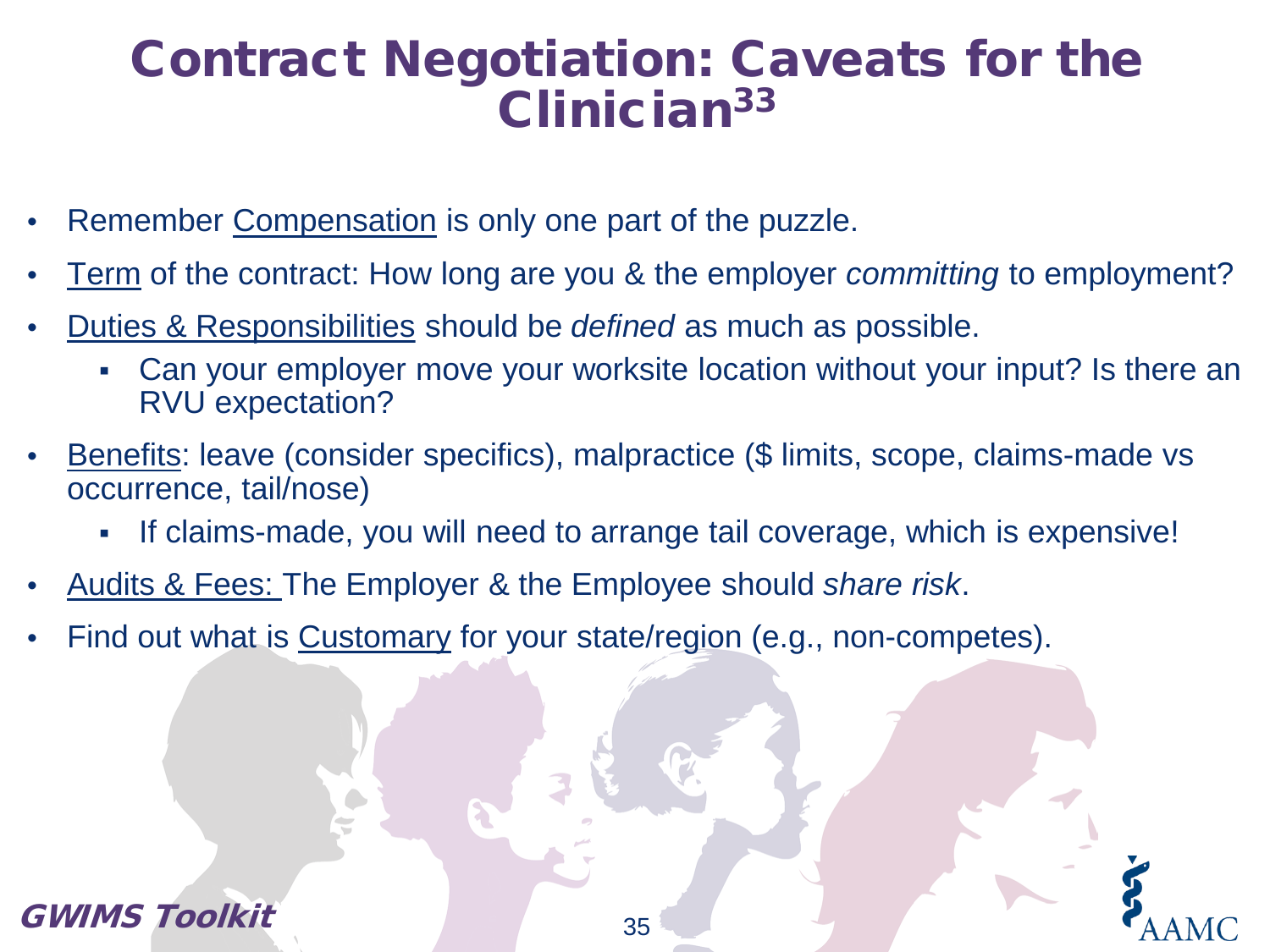### Contract Negotiation: Caveats for the Clinician33

- Remember Compensation is only one part of the puzzle.
- Term of the contract: How long are you & the employer *committing* to employment?
- Duties & Responsibilities should be *defined* as much as possible.
	- Can your employer move your worksite location without your input? Is there an RVU expectation?
- Benefits: leave (consider specifics), malpractice (\$ limits, scope, claims-made vs occurrence, tail/nose)
	- If claims-made, you will need to arrange tail coverage, which is expensive!
- Audits & Fees: The Employer & the Employee should *share risk*.
- Find out what is Customary for your state/region (e.g., non-competes).

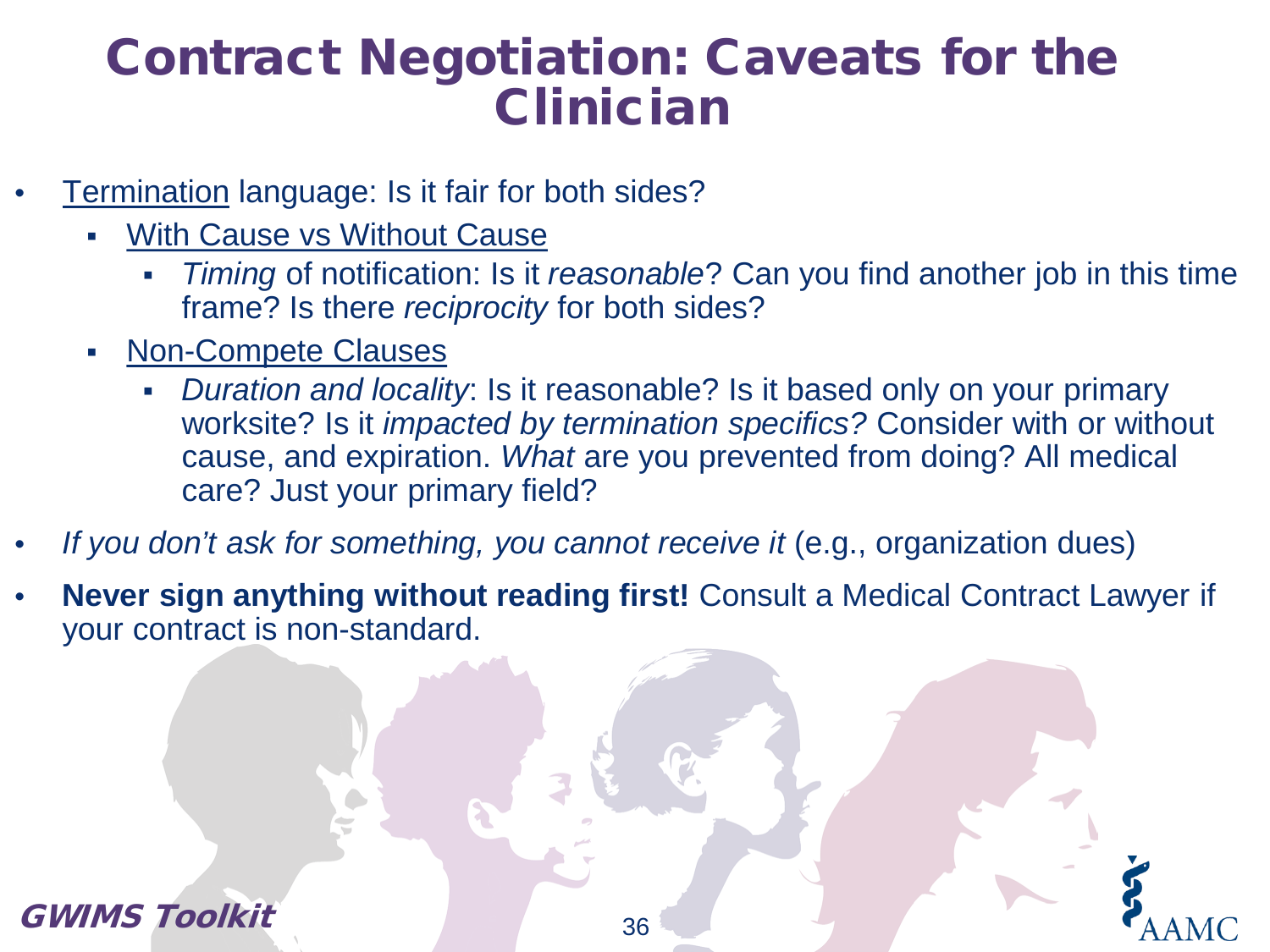### Contract Negotiation: Caveats for the Clinician

- **Termination language: Is it fair for both sides?** 
	- With Cause vs Without Cause
		- *Timing* of notification: Is it *reasonable*? Can you find another job in this time frame? Is there *reciprocity* for both sides?
	- Non-Compete Clauses
		- *Duration and locality*: Is it reasonable? Is it based only on your primary worksite? Is it *impacted by termination specifics?* Consider with or without cause, and expiration. *What* are you prevented from doing? All medical care? Just your primary field?
- *If you don't ask for something, you cannot receive it* (e.g., organization dues)
- **Never sign anything without reading first!** Consult a Medical Contract Lawyer if your contract is non-standard.

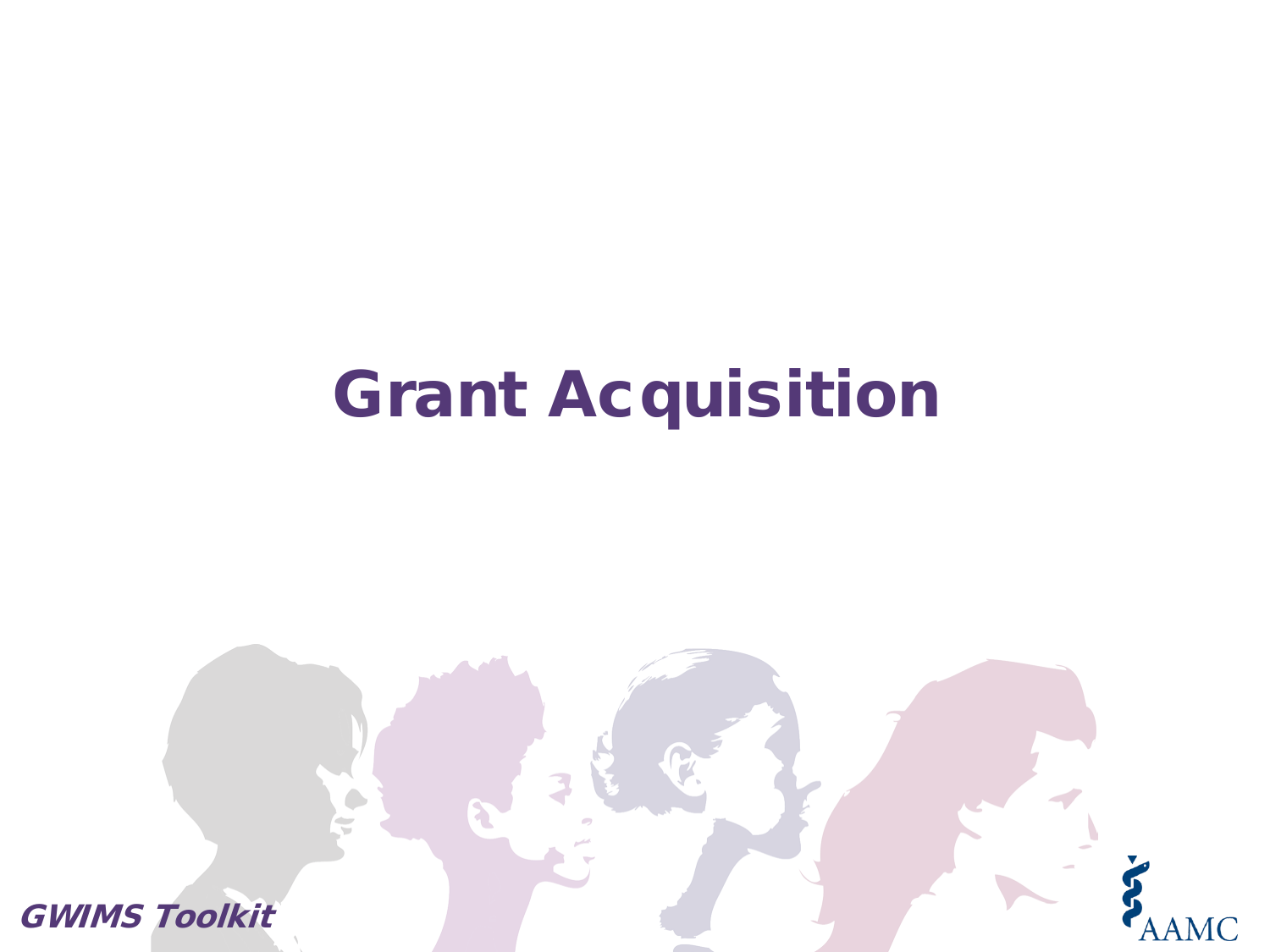# Grant Acquisition

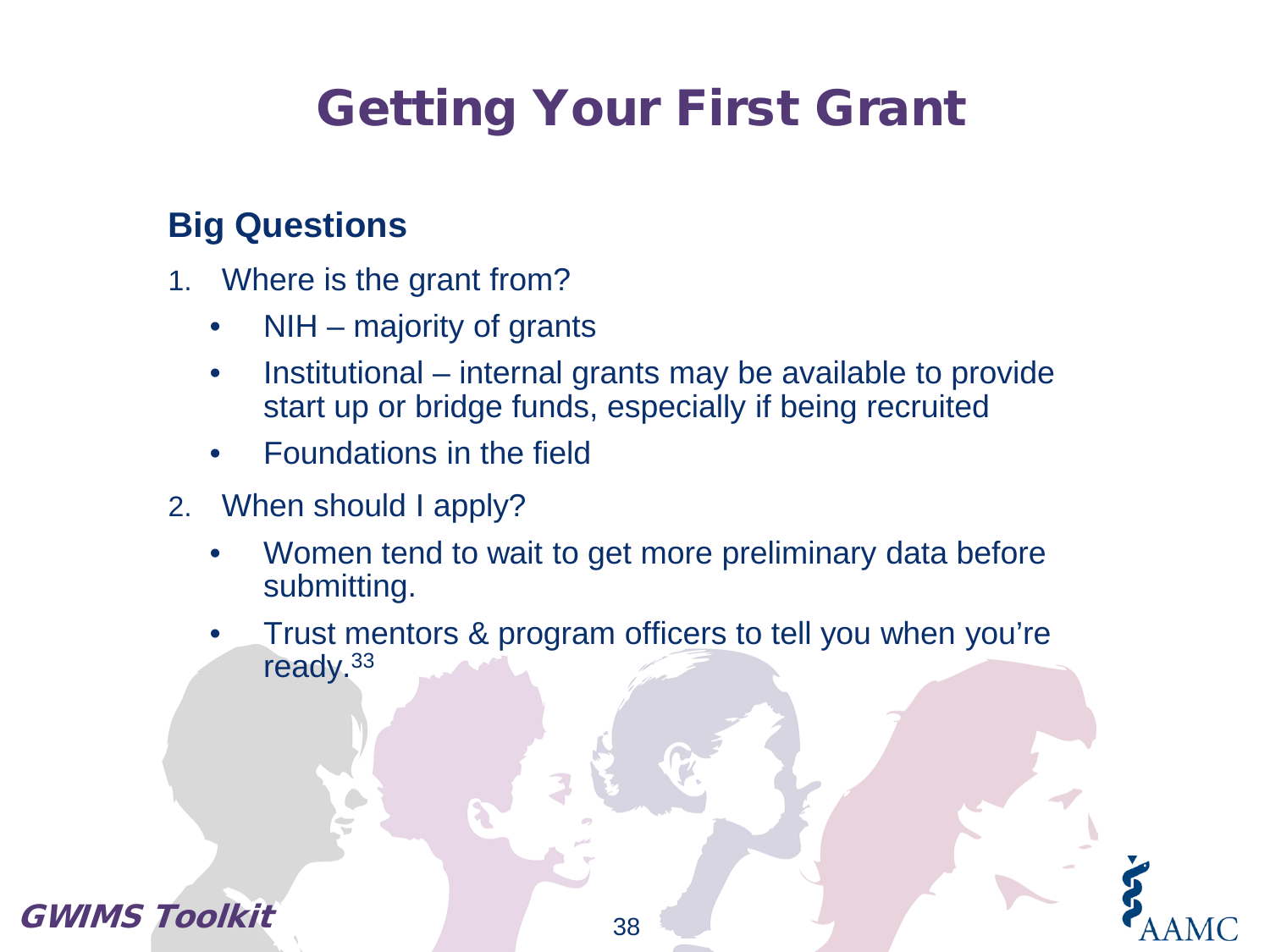# Getting Your First Grant

### **Big Questions**

- 1. Where is the grant from?
	- NIH majority of grants
	- Institutional internal grants may be available to provide start up or bridge funds, especially if being recruited
	- Foundations in the field
- 2. When should I apply?
	- Women tend to wait to get more preliminary data before submitting.
	- Trust mentors & program officers to tell you when you're ready.33

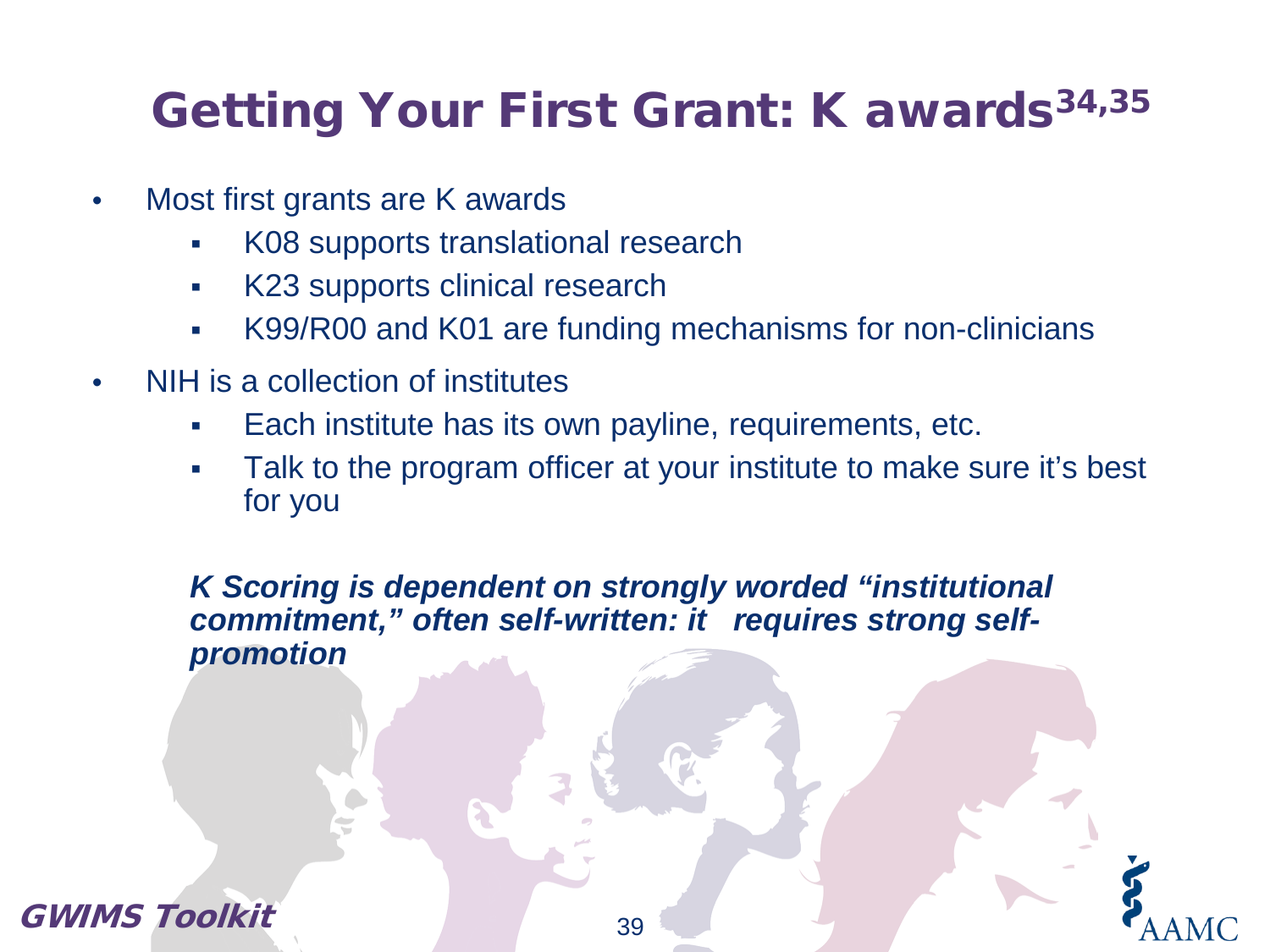## Getting Your First Grant: K awards<sup>34,35</sup>

- Most first grants are K awards
	- K08 supports translational research
	- K23 supports clinical research
	- K99/R00 and K01 are funding mechanisms for non-clinicians
- NIH is a collection of institutes
	- Each institute has its own payline, requirements, etc.
	- Talk to the program officer at your institute to make sure it's best for you

*K Scoring is dependent on strongly worded "institutional commitment," often self-written: it requires strong selfpromotion*

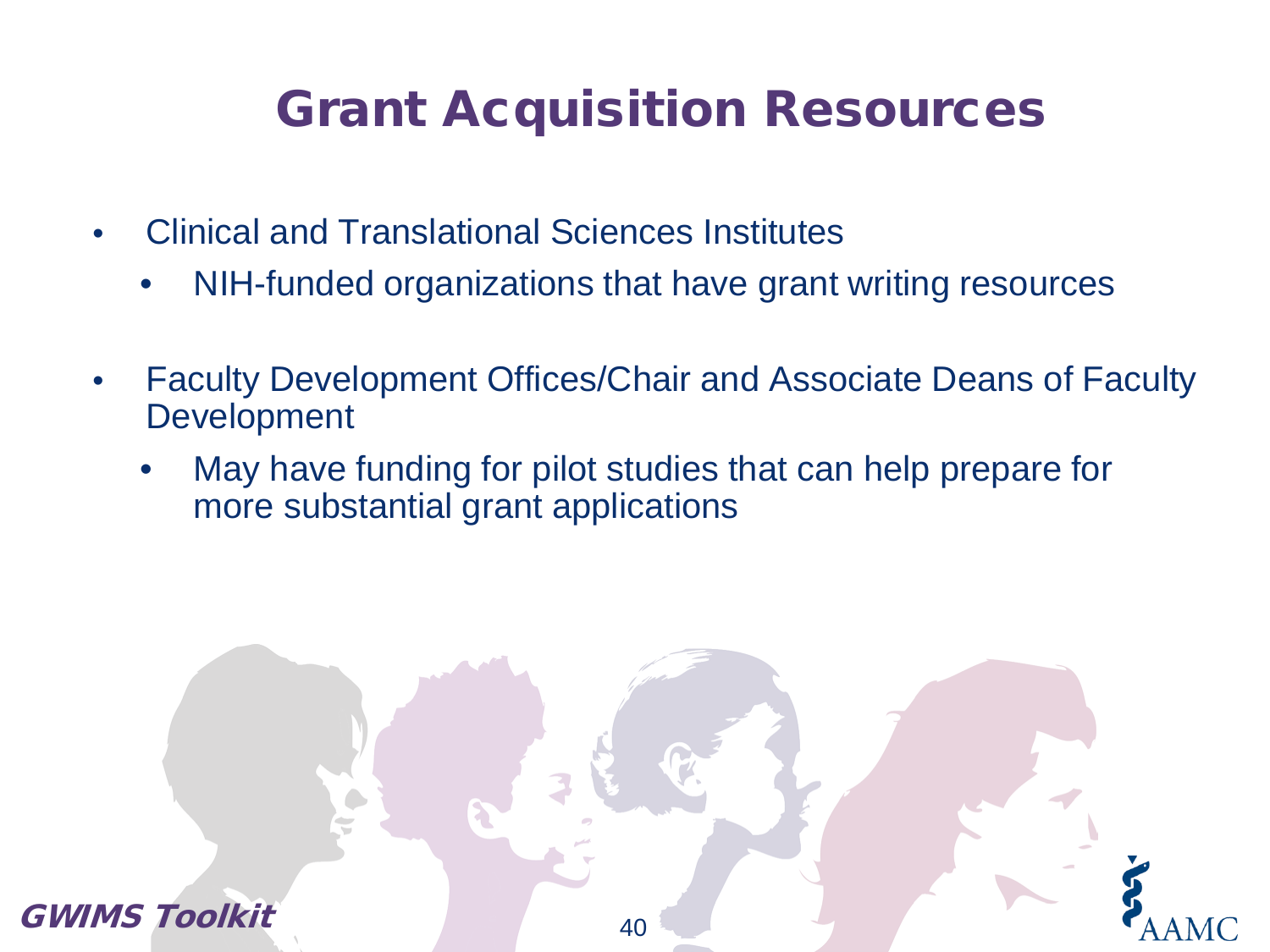## Grant Acquisition Resources

- Clinical and Translational Sciences Institutes
	- NIH-funded organizations that have grant writing resources
- Faculty Development Offices/Chair and Associate Deans of Faculty Development
	- May have funding for pilot studies that can help prepare for more substantial grant applications

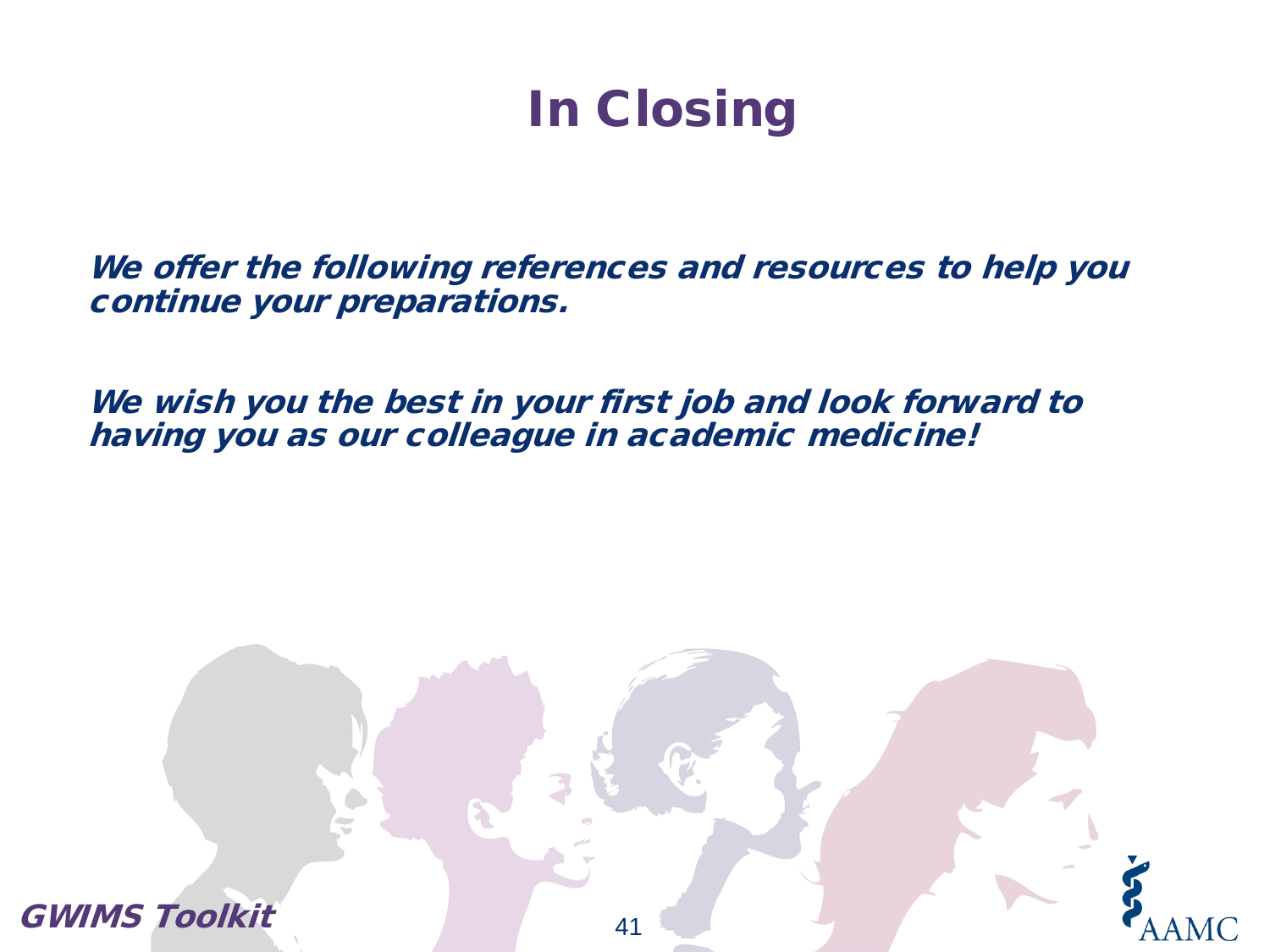## In Closing

We offer the following references and resources to help you continue your preparations.

We wish you the best in your first job and look forward to having you as our colleague in academic medicine!

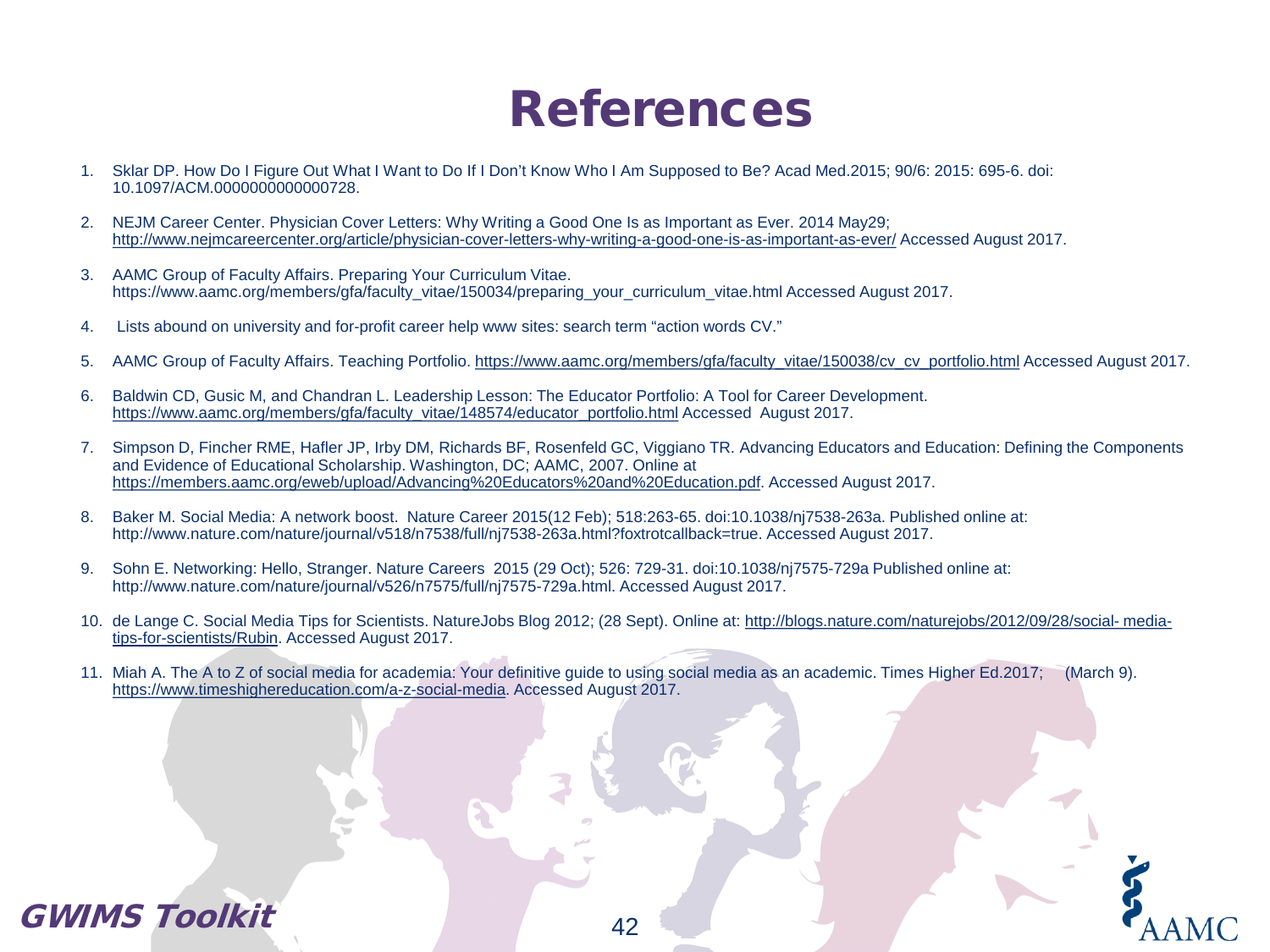### References

- 1. Sklar DP. How Do I Figure Out What I Want to Do If I Don't Know Who I Am Supposed to Be? Acad Med.2015; 90/6: 2015: 695-6. doi: 10.1097/ACM.0000000000000728.
- 2. NEJM Career Center. Physician Cover Letters: Why Writing a Good One Is as Important as Ever. 2014 May29; <http://www.nejmcareercenter.org/article/physician-cover-letters-why-writing-a-good-one-is-as-important-as-ever/> Accessed August 2017.
- 3. AAMC Group of Faculty Affairs. Preparing Your Curriculum Vitae. https://www.aamc.org/members/gfa/faculty\_vitae/150034/preparing\_your\_curriculum\_vitae.html Accessed August 2017.
- 4. Lists abound on university and for-profit career help www sites: search term "action words CV."
- 5. AAMC Group of Faculty Affairs. Teaching Portfolio. [https://www.aamc.org/members/gfa/faculty\\_vitae/150038/cv\\_cv\\_portfolio.html](https://www.aamc.org/members/gfa/faculty_vitae/150038/cv_cv_portfolio.html) Accessed August 2017.
- 6. Baldwin CD, Gusic M, and Chandran L. Leadership Lesson: The Educator Portfolio: A Tool for Career Development. [https://www.aamc.org/members/gfa/faculty\\_vitae/148574/educator\\_portfolio.html](https://www.aamc.org/members/gfa/faculty_vitae/148574/educator_portfolio.html) Accessed August 2017.
- 7. Simpson D, Fincher RME, Hafler JP, Irby DM, Richards BF, Rosenfeld GC, Viggiano TR. Advancing Educators and Education: Defining the Components and Evidence of Educational Scholarship. Washington, DC; AAMC, 2007. Online at [https://members.aamc.org/eweb/upload/Advancing%20Educators%20and%20Education.pdf.](https://members.aamc.org/eweb/upload/Advancing%20Educators%20and%20Education.pdf) Accessed August 2017.
- 8. Baker M. Social Media: A network boost. Nature Career 2015(12 Feb); 518:263-65. doi:10.1038/nj7538-263a. Published online at: http://www.nature.com/nature/journal/v518/n7538/full/nj7538-263a.html?foxtrotcallback=true. Accessed August 2017.
- 9. Sohn E. Networking: Hello, Stranger. Nature Careers 2015 (29 Oct); 526: 729-31. doi:10.1038/nj7575-729a Published online at: http://www.nature.com/nature/journal/v526/n7575/full/nj7575-729a.html. Accessed August 2017.
- 10. de Lange C. Social Media Tips for Scientists. NatureJobs [Blog 2012; \(28 Sept\). Online at: http://blogs.nature.com/naturejobs/2012/09/28/social-](http://blogs.nature.com/naturejobs/2012/09/28/social-media-tips-for-scientists/Rubin) mediatips-for-scientists/Rubin. Accessed August 2017.
- 11. Miah A. The A to Z of social media for academia: Your definitive guide to using social media as an academic. Times Higher Ed.2017; (March 9). [https://www.timeshighereducation.com/a-z-social-media.](https://www.timeshighereducation.com/a-z-social-media) Accessed August 2017.

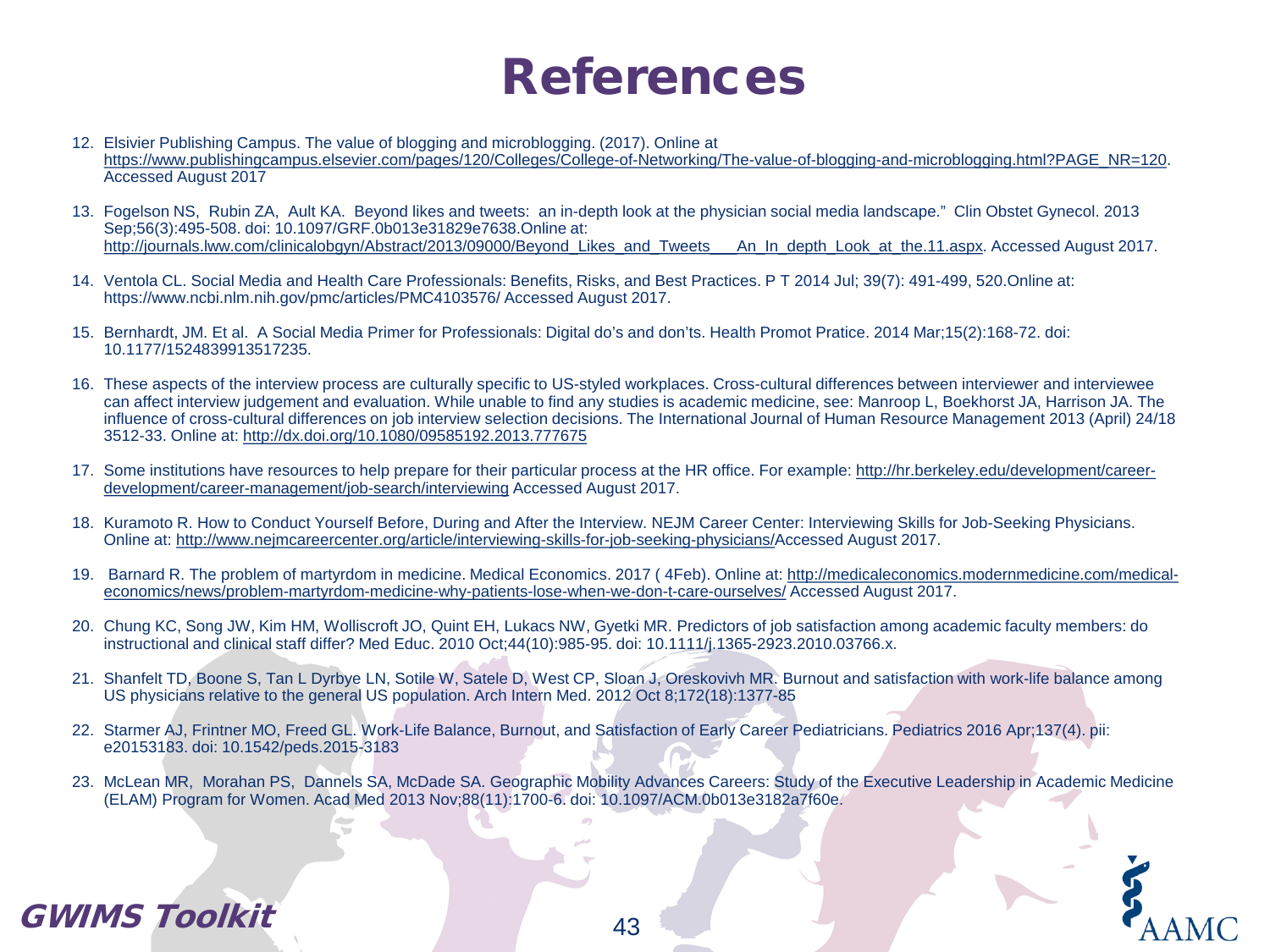### References

- 12. Elsivier Publishing Campus. The value of blogging and microblogging. (2017). Online at [https://www.publishingcampus.elsevier.com/pages/120/Colleges/College-of-Networking/The-value-of-blogging-and-microblogging.html?PAGE\\_NR=120](https://www.publishingcampus.elsevier.com/pages/120/Colleges/College-of-Networking/The-value-of-blogging-and-microblogging.html?PAGE_NR=120). Accessed August 2017
- 13. Fogelson NS, Rubin ZA, Ault KA. Beyond likes and tweets: an in-depth look at the physician social media landscape." Clin Obstet Gynecol. 2013 Sep;56(3):495-508. doi: 10.1097/GRF.0b013e31829e7638.Online at: [http://journals.lww.com/clinicalobgyn/Abstract/2013/09000/Beyond\\_Likes\\_and\\_Tweets\\_\\_\\_An\\_In\\_depth\\_Look\\_at\\_the.11.aspx](http://journals.lww.com/clinicalobgyn/Abstract/2013/09000/Beyond_Likes_and_Tweets___An_In_depth_Look_at_the.11.aspx). Accessed August 2017.
- 14. Ventola CL. Social Media and Health Care Professionals: Benefits, Risks, and Best Practices. P T 2014 Jul; 39(7): 491-499, 520.Online at: https://www.ncbi.nlm.nih.gov/pmc/articles/PMC4103576/ Accessed August 2017.
- 15. Bernhardt, JM. Et al. A Social Media Primer for Professionals: Digital do's and don'ts. Health Promot Pratice. 2014 Mar;15(2):168-72. doi: 10.1177/1524839913517235.
- 16. These aspects of the interview process are culturally specific to US-styled workplaces. Cross-cultural differences between interviewer and interviewee can affect interview judgement and evaluation. While unable to find any studies is academic medicine, see: Manroop L, Boekhorst JA, Harrison JA. The influence of cross-cultural differences on job interview selection decisions. The International Journal of Human Resource Management 2013 (April) 24/18 3512-33. Online at: <http://dx.doi.org/10.1080/09585192.2013.777675>
- 17. [Some institutions have resources to help prepare for their particular process at the HR office. For example: http://hr.berkeley.edu/development/career](http://hr.berkeley.edu/development/career-development/career-management/job-search/interviewing)development/career-management/job-search/interviewing Accessed August 2017.
- 18. Kuramoto R. How to Conduct Yourself Before, During and After the Interview. NEJM Career Center: Interviewing Skills for Job-Seeking Physicians. Online at: <http://www.nejmcareercenter.org/article/interviewing-skills-for-job-seeking-physicians/>Accessed August 2017.
- 19. [Barnard R. The problem of martyrdom in medicine. Medical Economics. 2017 \( 4Feb\). Online at: http://medicaleconomics.modernmedicine.com/medical](http://medicaleconomics.modernmedicine.com/medical-economics/news/problem-martyrdom-medicine-why-patients-lose-when-we-don-t-care-ourselves/Access)economics/news/problem-martyrdom-medicine-why-patients-lose-when-we-don-t-care-ourselves/ Accessed August 2017.
- 20. Chung KC, Song JW, Kim HM, Wolliscroft JO, Quint EH, Lukacs NW, Gyetki MR. Predictors of job satisfaction among academic faculty members: do instructional and clinical staff differ? Med Educ. 2010 Oct;44(10):985-95. doi: 10.1111/j.1365-2923.2010.03766.x.
- 21. Shanfelt TD, Boone S, Tan L Dyrbye LN, Sotile W, Satele D, West CP, Sloan J, Oreskovivh MR. Burnout and satisfaction with work-life balance among US physicians relative to the general US population. Arch Intern Med. 2012 Oct 8;172(18):1377-85
- 22. Starmer AJ, Frintner MO, Freed GL. Work-Life Balance, Burnout, and Satisfaction of Early Career Pediatricians. Pediatrics 2016 Apr;137(4). pii: e20153183. doi: 10.1542/peds.2015-3183
- 23. McLean MR, Morahan PS, Dannels SA, McDade SA. Geographic Mobility Advances Careers: Study of the Executive Leadership in Academic Medicine (ELAM) Program for Women. Acad Med 2013 Nov;88(11):1700-6. doi: 10.1097/ACM.0b013e3182a7f60e.

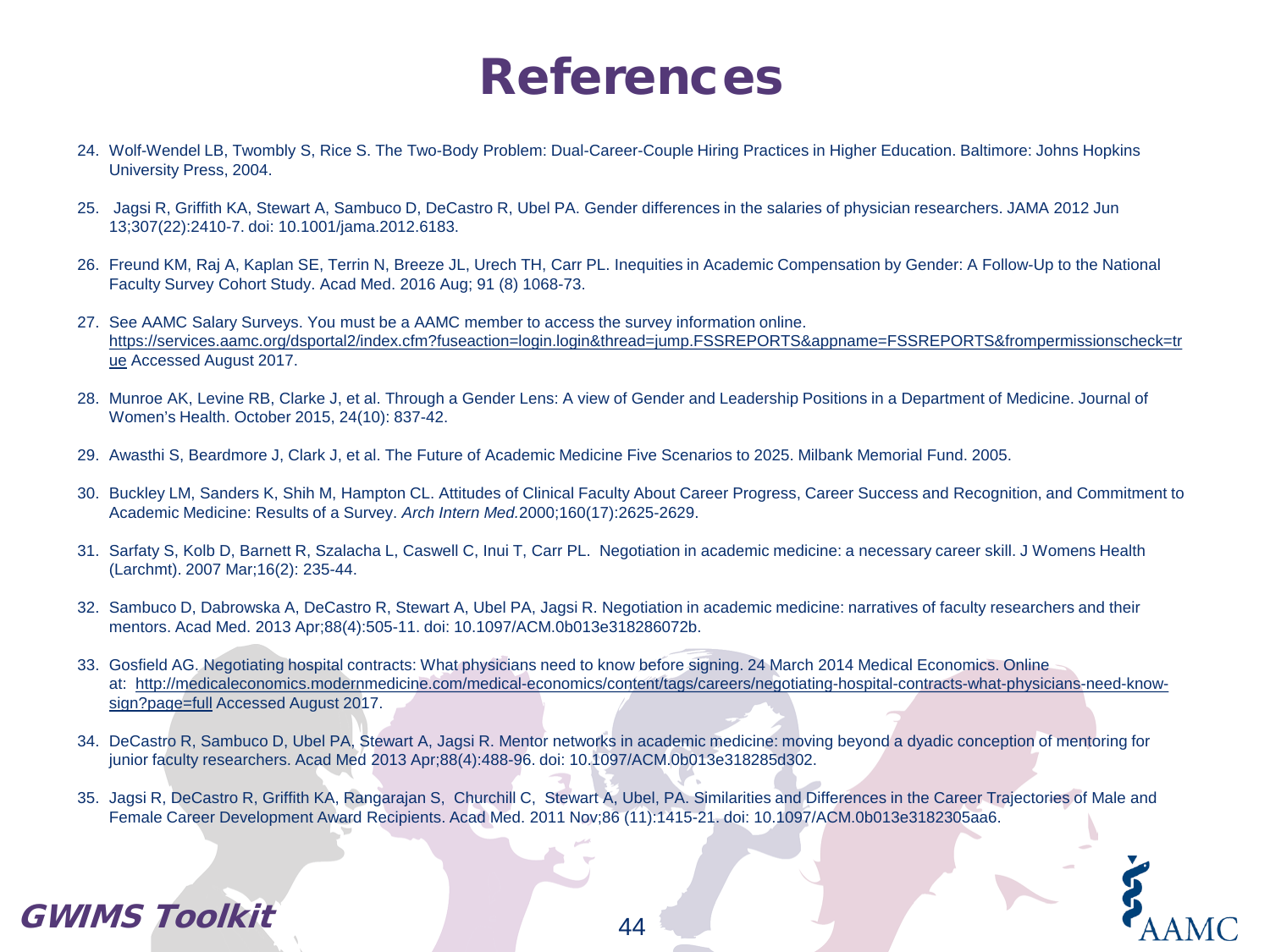### References

- 24. Wolf-Wendel LB, Twombly S, Rice S. The Two-Body Problem: Dual-Career-Couple Hiring Practices in Higher Education. Baltimore: Johns Hopkins University Press, 2004.
- 25. Jagsi R, Griffith KA, Stewart A, Sambuco D, DeCastro R, Ubel PA. Gender differences in the salaries of physician researchers. JAMA 2012 Jun 13;307(22):2410-7. doi: 10.1001/jama.2012.6183.
- 26. Freund KM, Raj A, Kaplan SE, Terrin N, Breeze JL, Urech TH, Carr PL. Inequities in Academic Compensation by Gender: A Follow-Up to the National Faculty Survey Cohort Study. Acad Med. 2016 Aug; 91 (8) 1068-73.
- 27. See AAMC Salary Surveys. You must be a AAMC member to access the survey information online. [https://services.aamc.org/dsportal2/index.cfm?fuseaction=login.login&thread=jump.FSSREPORTS&appname=FSSREPORTS&frompermissionscheck=tr](https://services.aamc.org/dsportal2/index.cfm?fuseaction=login.login&thread=jump.FSSREPORTS&appname=FSSREPORTS&frompermissionscheck=true) ue Accessed August 2017.
- 28. Munroe AK, Levine RB, Clarke J, et al. Through a Gender Lens: A view of Gender and Leadership Positions in a Department of Medicine. Journal of Women's Health. October 2015, 24(10): 837-42.
- 29. Awasthi S, Beardmore J, Clark J, et al. The Future of Academic Medicine Five Scenarios to 2025. Milbank Memorial Fund. 2005.
- 30. Buckley LM, Sanders K, Shih M, Hampton CL. Attitudes of Clinical Faculty About Career Progress, Career Success and Recognition, and Commitment to Academic Medicine: Results of a Survey. *Arch Intern Med.*2000;160(17):2625-2629.
- 31. Sarfaty S, Kolb D, Barnett R, Szalacha L, Caswell C, Inui T, Carr PL. Negotiation in academic medicine: a necessary career skill. J Womens Health (Larchmt). 2007 Mar;16(2): 235-44.
- 32. Sambuco D, Dabrowska A, DeCastro R, Stewart A, Ubel PA, Jagsi R. Negotiation in academic medicine: narratives of faculty researchers and their mentors. Acad Med. 2013 Apr;88(4):505-11. doi: 10.1097/ACM.0b013e318286072b.
- 33. Gosfield AG. Negotiating hospital contracts: What physicians need to know before signing. 24 March 2014 Medical Economics. Online at: [http://medicaleconomics.modernmedicine.com/medical-economics/content/tags/careers/negotiating-hospital-contracts-what-physicians-need-know](http://medicaleconomics.modernmedicine.com/medical-economics/content/tags/careers/negotiating-hospital-contracts-what-physicians-need-know-sign?page=full)sign?page=full Accessed August 2017.
- 34. DeCastro R, Sambuco D, Ubel PA, Stewart A, Jagsi R. Mentor networks in academic medicine: moving beyond a dyadic conception of mentoring for junior faculty researchers. Acad Med 2013 Apr;88(4):488-96. doi: 10.1097/ACM.0b013e318285d302.
- 35. Jagsi R, DeCastro R, Griffith KA, Rangarajan S, Churchill C, Stewart A, Ubel, PA. Similarities and Differences in the Career Trajectories of Male and Female Career Development Award Recipients. Acad Med. 2011 Nov;86 (11):1415-21. doi: 10.1097/ACM.0b013e3182305aa6.

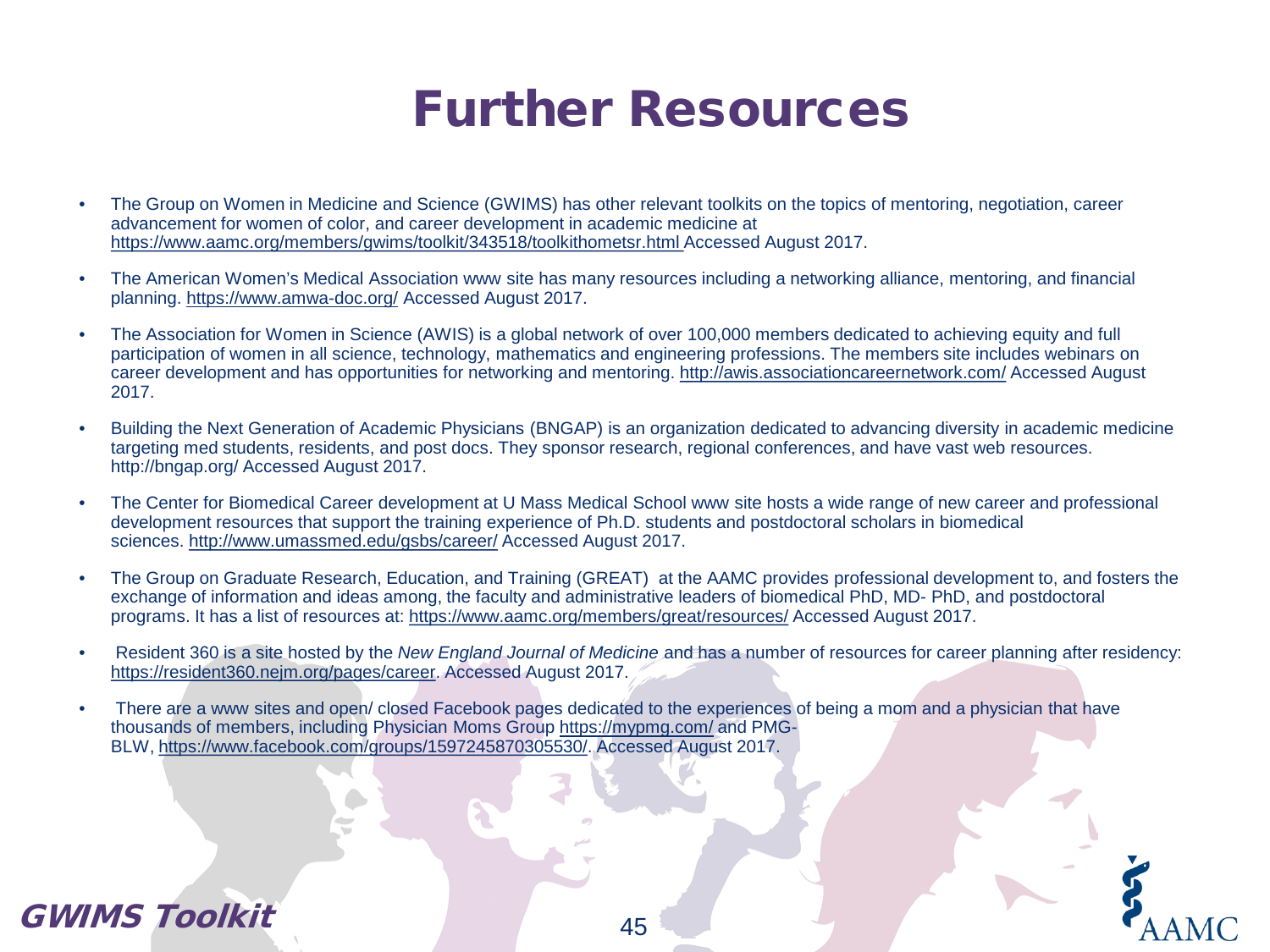### Further Resources

- The Group on Women in Medicine and Science (GWIMS) has other relevant toolkits on the topics of mentoring, negotiation, career advancement for women of color, and career development in academic medicine at [https://www.aamc.org/members/gwims/toolkit/343518/toolkithometsr.html A](https://www.aamc.org/members/gwims/toolkit/343518/toolkithometsr.html)ccessed August 2017.
- The American Women's Medical Association www site has many resources including a networking alliance, mentoring, and financial planning. <https://www.amwa-doc.org/> Accessed August 2017.
- The Association for Women in Science (AWIS) is a global network of over 100,000 members dedicated to achieving equity and full participation of women in all science, technology, mathematics and engineering professions. The members site includes webinars on career development and has opportunities for networking and mentoring.<http://awis.associationcareernetwork.com/> Accessed August 2017.
- Building the Next Generation of Academic Physicians (BNGAP) is an organization dedicated to advancing diversity in academic medicine targeting med students, residents, and post docs. They sponsor research, regional conferences, and have vast web resources. http://bngap.org/ Accessed August 2017.
- The Center for Biomedical Career development at U Mass Medical School www site hosts a wide range of new career and professional development resources that support the training experience of Ph.D. students and postdoctoral scholars in biomedical sciences. <http://www.umassmed.edu/gsbs/career/> Accessed August 2017.
- The Group on Graduate Research, Education, and Training (GREAT) at the AAMC provides professional development to, and fosters the exchange of information and ideas among, the faculty and administrative leaders of biomedical PhD, MD- PhD, and postdoctoral programs. It has a list of resources at: <https://www.aamc.org/members/great/resources/> Accessed August 2017.
- Resident 360 is a site hosted by the *New England Journal of Medicine* and has a number of resources for career planning after residency: <https://resident360.nejm.org/pages/career>. Accessed August 2017.
- There are a www sites and open/ closed Facebook pages dedicated to the experiences of being a mom and a physician that have thousands of members, including Physician Moms Group <https://mypmg.com/> and PMG-BLW, <https://www.facebook.com/groups/1597245870305530/>. Accessed August 2017.